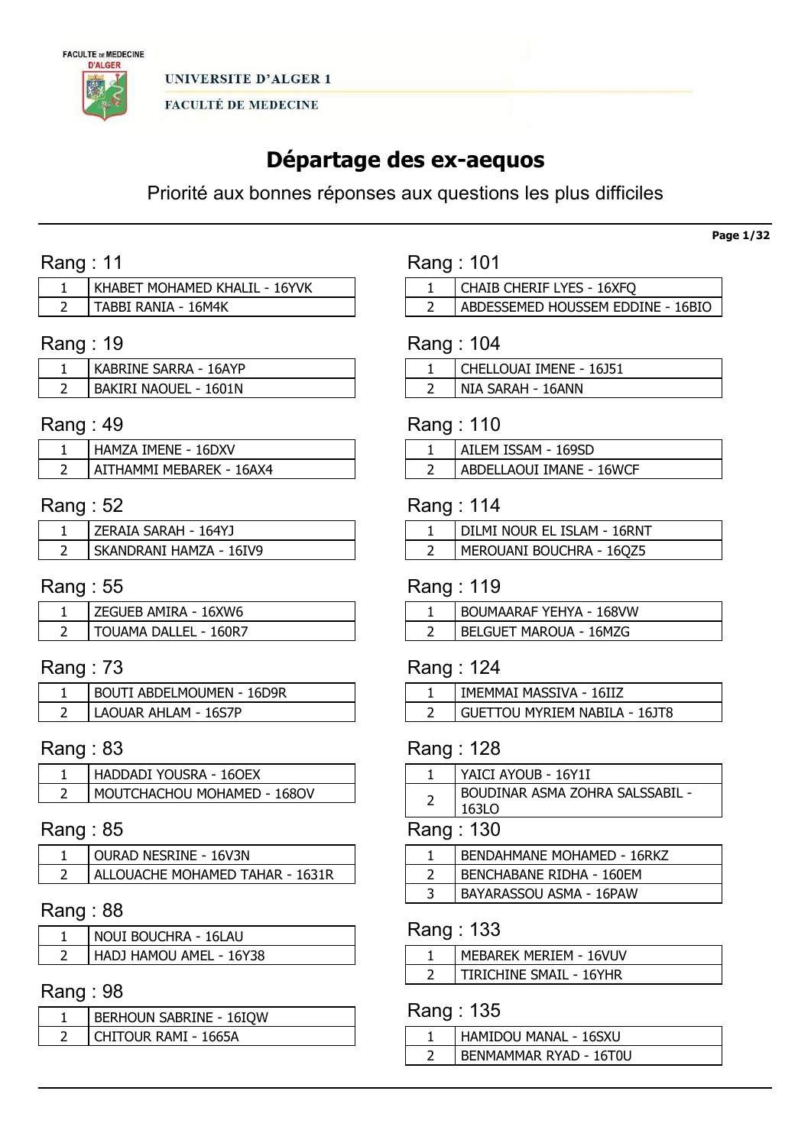

# Départage des ex-aequos

Priorité aux bonnes réponses aux questions les plus difficiles

# Rang : 11

| KHABET MOHAMED KHALIL - 16YVK |
|-------------------------------|
| . TABBI RANIA - 16M4K         |

# Rang : 19

| KABRINE SARRA - 16AYP |
|-----------------------|
| BAKIRI NAOUEL - 1601N |

# Rang : 49

| HAMZA IMENE - 16DXV      |
|--------------------------|
| AITHAMMI MEBAREK - 16AX4 |

# Rang : 52

| ZERAIA SARAH - 164YJ    |
|-------------------------|
| SKANDRANI HAMZA - 16IV9 |

# Rang : 55

| EGUEB AMIRA - 16XW6   |
|-----------------------|
| TOUAMA DALLEL - 160R7 |

# Rang : 73

| <b>BOUTI ABDELMOUMEN - 16D9R</b> |
|----------------------------------|
| LAOUAR AHLAM - 16S7P             |

# Rang : 83

| HADDADI YOUSRA - 160EX      |
|-----------------------------|
| MOUTCHACHOU MOHAMED - 1680V |

# Rang : 85

| <b>OURAD NESRINE - 16V3N</b>    |
|---------------------------------|
| ALLOUACHE MOHAMED TAHAR - 1631R |

# Rang : 88

| NOUI BOUCHRA - 16LAU    |
|-------------------------|
| HADJ HAMOU AMEL - 16Y38 |

# Rang : 98

| BERHOUN SABRINE - 16IQW |
|-------------------------|
| CHITOUR RAMI - 1665A    |

| Rang: 101 |  |  |
|-----------|--|--|
|           |  |  |

| CHAIB CHERIF LYES - 16XFQ         |
|-----------------------------------|
| ABDESSEMED HOUSSEM EDDINE - 16BIO |

# Rang : 104

| Chellouai Imene - 16J51 |
|-------------------------|
| NIA SARAH - 16ANN       |

# Rang : 110

| AILEM ISSAM - 169SD      |
|--------------------------|
| ABDELLAOUI IMANE - 16WCF |

# Rang : 114

| DILMI NOUR EL ISLAM - 16RNT |
|-----------------------------|
| MEROUANI BOUCHRA - 16QZ5    |

### Rang : 119

| <b>BOUMAARAF YEHYA - 168VW</b> |
|--------------------------------|
| BELGUET MAROUA - 16MZG         |

# Rang : 124

| IMEMMAI MASSIVA - 16IIZ              |
|--------------------------------------|
| <b>GUETTOU MYRIEM NABILA - 16JT8</b> |

# Rang : 128

| YAICI AYOUB - 16Y1I                       |
|-------------------------------------------|
| BOUDINAR ASMA ZOHRA SALSSABIL -<br>163I O |
|                                           |

### Rang : 130

| <b>BENDAHMANE MOHAMED - 16RKZ</b> |
|-----------------------------------|
| BENCHABANE RIDHA - 160EM          |
| BAYARASSOU ASMA - 16PAW           |
|                                   |

### Rang : 133

| MEBAREK MERIEM - 16VUV  |
|-------------------------|
| TIRICHINE SMAIL - 16YHR |

# Rang : 135

| HAMIDOU MANAL - 16SXU  |
|------------------------|
| BENMAMMAR RYAD - 16T0U |

Page 1/32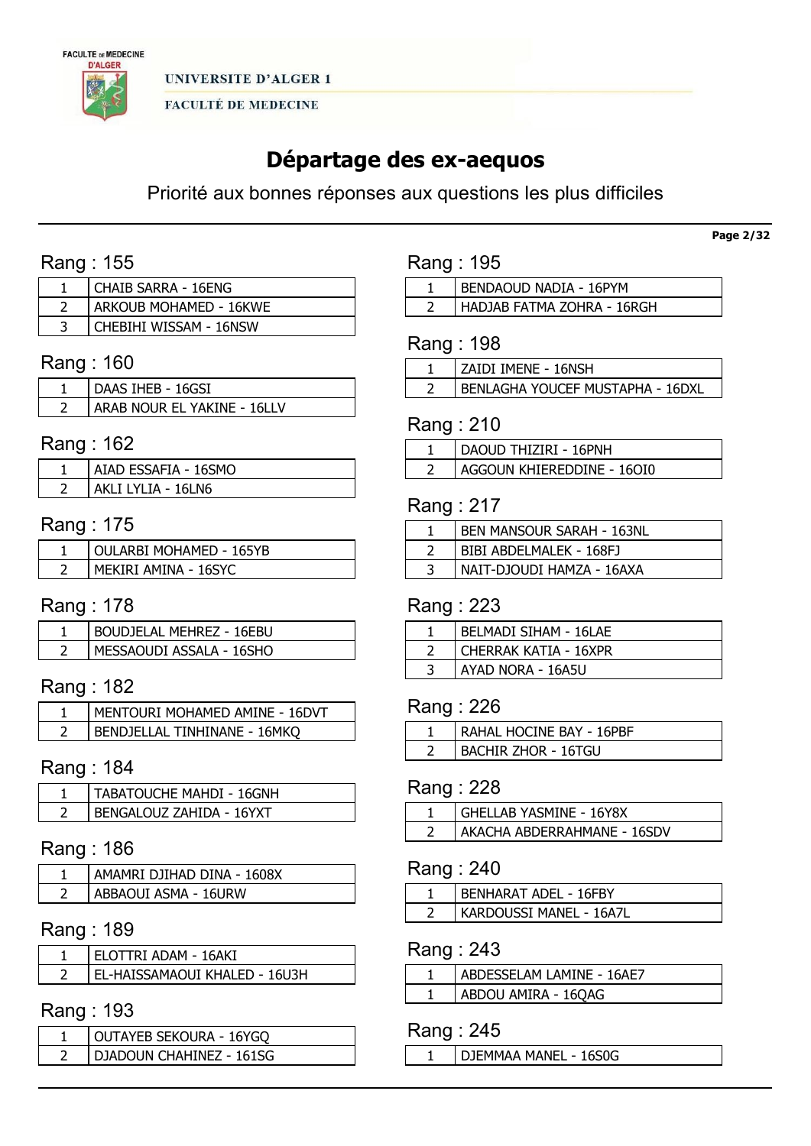

# Départage des ex-aequos

Priorité aux bonnes réponses aux questions les plus difficiles

# Rang : 155

| <b>CHAIB SARRA - 16ENG</b> |
|----------------------------|
| ARKOUB MOHAMED - 16KWE     |
| CHEBIHI WISSAM - 16NSW     |

# Rang : 160

| DAAS IHEB - 16GSI           |
|-----------------------------|
| ARAB NOUR EL YAKINE - 16LLV |

# Rang : 162

| AIAD ESSAFIA - 16SMO   |
|------------------------|
| AKI I I YI IA - 16I N6 |

# Rang : 175

| OULARBI MOHAMED - 165YB |
|-------------------------|
| MEKIRI AMINA - 16SYC    |

# Rang : 178

| BOUDJELAL MEHREZ - 16EBU |
|--------------------------|
| MESSAOUDI ASSALA - 16SHO |

# Rang : 182

| I MENTOURI MOHAMED AMINE - 16DVT |
|----------------------------------|
| ' BENDJELLAL TINHINANE - 16MKO   |

# Rang : 184

| TABATOUCHE MAHDI - 16GNH |
|--------------------------|
| BENGALOUZ ZAHIDA - 16YXT |

### Rang : 186

| AMAMRI DJIHAD DINA - 1608X |
|----------------------------|
| ABBAOUI ASMA - 16URW       |

### Rang : 189

| ELOTTRI ADAM - 16AKI          |
|-------------------------------|
| EL-HAISSAMAOUI KHALED - 16U3H |

### Rang : 193

| OUTAYEB SEKOURA - 16YGQ  |
|--------------------------|
| DJADOUN CHAHINEZ - 161SG |

|  | Rang : 195 |  |  |
|--|------------|--|--|
|--|------------|--|--|

| BENDAOUD NADIA - 16PYM     |
|----------------------------|
| HADJAB FATMA ZOHRA - 16RGH |

# Rang : 198

| l ZAIDI IMENE - 16NSH              |
|------------------------------------|
| I BENLAGHA YOUCEF MUSTAPHA - 16DXL |

### Rang : 210

| DAOUD THIZIRI - 16PNH      |
|----------------------------|
| AGGOUN KHIEREDDINE - 160I0 |

# Rang : 217

| <b>BEN MANSOUR SARAH - 163NL</b> |
|----------------------------------|
| BIBI ABDELMALEK - 168FJ          |
| NAIT-DJOUDI HAMZA - 16AXA        |

# Rang : 223

| BELMADI SIHAM - 16LAE |
|-----------------------|
| CHERRAK KATIA - 16XPR |
| AYAD NORA - 16A5U     |

## Rang : 226

| RAHAL HOCINE BAY - 16PBF |
|--------------------------|
| BACHIR ZHOR - 16TGU      |

### Rang : 228

| GHELLAB YASMINE - 16Y8X     |
|-----------------------------|
| AKACHA ABDERRAHMANE - 16SDV |

### Rang : 240

| BENHARAT ADEL - 16FBY   |
|-------------------------|
| KARDOUSSI MANEL - 16A7L |

# Rang : 243

| ABDESSELAM LAMINE - 16AE7 |
|---------------------------|
| ABDOU AMIRA - 16QAG       |

### Rang : 245

DJEMMAA MANEL - 16S0G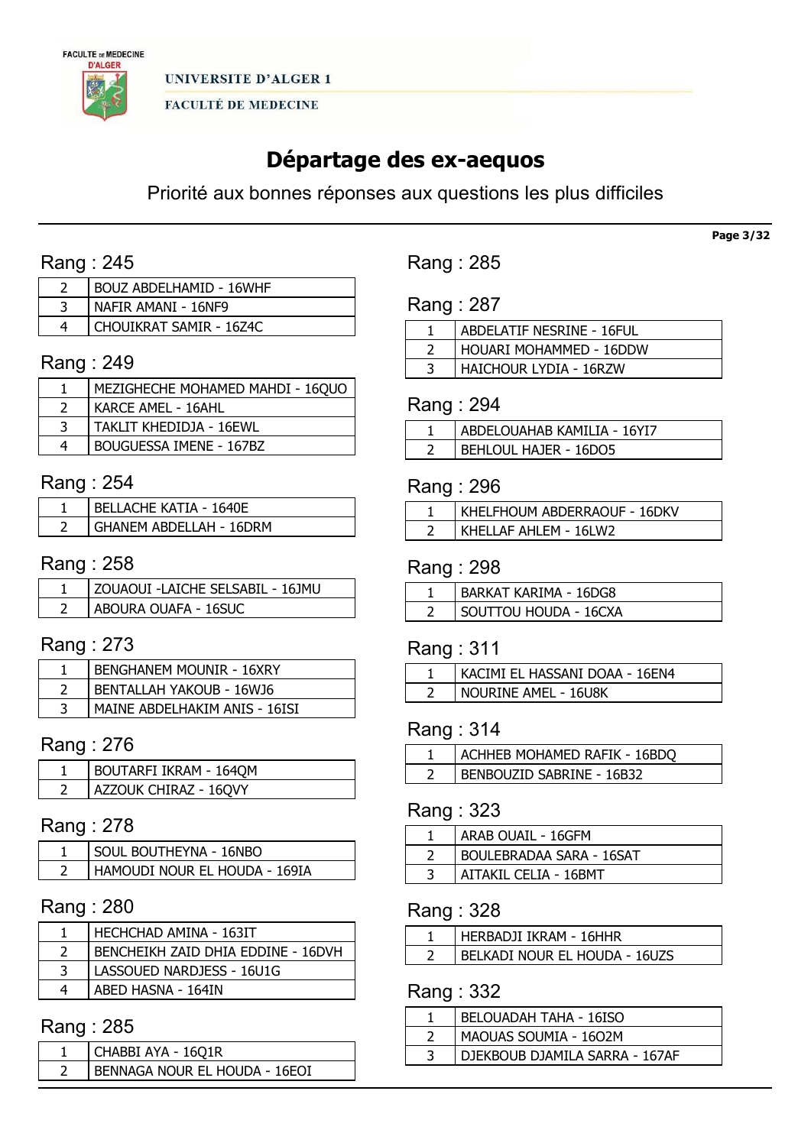

# Départage des ex-aequos

Priorité aux bonnes réponses aux questions les plus difficiles

# Rang : 245

| <b>BOUZ ABDELHAMID - 16WHF</b> |
|--------------------------------|
| NAFIR AMANI - 16NF9            |
| CHOUIKRAT SAMIR - 16Z4C        |

# Rang : 249

| MEZIGHECHE MOHAMED MAHDI - 16QUO |
|----------------------------------|
| KARCE AMEL - 16AHL               |
| TAKLIT KHEDIDJA - 16EWL          |
| BOUGUESSA IMENE - 167BZ          |

### Rang : 254

| <b>BELLACHE KATIA - 1640E</b> |
|-------------------------------|
| GHANEM ABDELLAH - 16DRM       |

# Rang : 258

| ZOUAOUI -LAICHE SELSABIL - 16JMU |
|----------------------------------|
| ABOURA OUAFA - 16SUC             |

### Rang : 273

| <b>BENGHANEM MOUNIR - 16XRY</b> |
|---------------------------------|
| <b>BENTALLAH YAKOUB - 16WJ6</b> |
| MAINE ABDELHAKIM ANIS - 16ISI   |

# Rang : 276

| BOUTARFI IKRAM - 1640M |
|------------------------|
| AZZOUK CHIRAZ - 16QVY  |

# Rang : 278

| SOUL BOUTHEYNA - 16NBO        |
|-------------------------------|
| HAMOUDI NOUR EL HOUDA - 169IA |

# Rang : 280

| HECHCHAD AMINA - 163IT             |
|------------------------------------|
| BENCHEIKH ZAID DHIA EDDINE - 16DVH |
| LASSOUED NARDJESS - 16U1G          |
| ABED HASNA - 164IN                 |

### Rang : 285

| CHABBI AYA - 16Q1R            |
|-------------------------------|
| BENNAGA NOUR EL HOUDA - 16EOI |

Rang : 285

Rang : 287

| ABDELATIF NESRINE - 16FUL |
|---------------------------|
| HOUARI MOHAMMED - 16DDW   |
| HAICHOUR LYDIA - 16RZW    |

### Rang : 294

| ABDELOUAHAB KAMILIA - 16YI7 |
|-----------------------------|
| BEHLOUL HAJER - 16DO5       |

# Rang : 296

| KHELFHOUM ABDERRAOUF - 16DKV |
|------------------------------|
| KHELLAF AHLEM - 16LW2        |

### Rang : 298

| <b>BARKAT KARIMA - 16DG8</b> |
|------------------------------|
| SOUTTOU HOUDA - 16CXA        |

### Rang : 311

| KACIMI EL HASSANI DOAA - 16EN4 |
|--------------------------------|
| NOURINE AMEL - 16U8K           |

### Rang : 314

| ACHHEB MOHAMED RAFIK - 16BDO |
|------------------------------|
| BENBOUZID SABRINE - 16B32    |

### Rang : 323

| ARAB OUAIL - 16GFM       |
|--------------------------|
| BOULEBRADAA SARA - 16SAT |
| AITAKIL CELIA - 16BMT    |

### Rang : 328

| HERBADJI IKRAM - 16HHR        |
|-------------------------------|
| BELKADI NOUR EL HOUDA - 16UZS |

# Rang : 332

| <b>BELOUADAH TAHA - 16ISO</b>  |
|--------------------------------|
| MAOUAS SOUMIA - 1602M          |
| DJEKBOUB DJAMILA SARRA - 167AF |

Page 3/32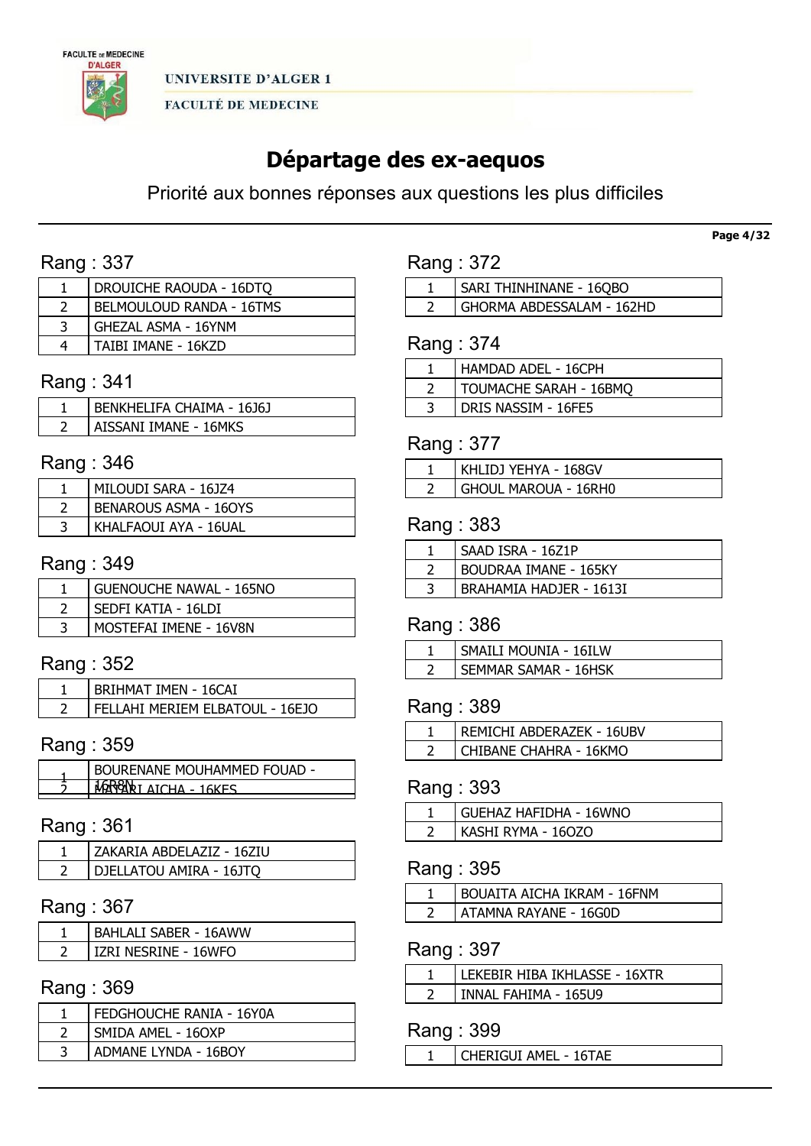

# Départage des ex-aequos

Priorité aux bonnes réponses aux questions les plus difficiles

# Rang : 337

| DROUICHE RAOUDA - 16DTO  |
|--------------------------|
| BELMOULOUD RANDA - 16TMS |
| GHEZAL ASMA - 16YNM      |
| TAIBI IMANE - 16KZD      |

### Rang : 341

| BENKHELIFA CHAIMA - 16J6J |
|---------------------------|
| AISSANI IMANE - 16MKS     |

# Rang : 346

| MILOUDI SARA - 16JZ4         |
|------------------------------|
| <b>BENAROUS ASMA - 160YS</b> |
| KHALFAOUI AYA - 16UAL        |

# Rang : 349

| <b>GUENOUCHE NAWAL - 165NO</b> |
|--------------------------------|
| SEDFI KATIA - 16LDI            |
| MOSTEFAI IMENE - 16V8N         |

# Rang : 352

| <b>BRIHMAT IMEN - 16CAI</b>     |
|---------------------------------|
| FELLAHI MERIEM ELBATOUL - 16EJO |

# Rang : 359

| BOURENANE MOUHAMMED FOUAD -        |
|------------------------------------|
| $1.17CHA = 12$<br><b>1 G V E C</b> |

### Rang : 361

| ZAKARIA ABDELAZIZ - 16ZIU |
|---------------------------|
| DJELLATOU AMIRA - 16JTQ   |

# Rang : 367

| <b>BAHLALI SABER - 16AWW</b> |
|------------------------------|
| IZRI NESRINE - 16WFO         |

# Rang : 369

| FEDGHOUCHE RANIA - 16Y0A |
|--------------------------|
| SMIDA AMEL - 160XP       |
| ADMANE LYNDA - 16BOY     |
|                          |

| Rang : | -J |
|--------|----|
|        |    |

| SARI THINHINANE - 16OBO   |
|---------------------------|
| GHORMA ABDESSALAM - 162HD |

# Rang : 374

| HAMDAD ADEL - 16CPH    |
|------------------------|
| TOUMACHE SARAH - 16BMQ |
| DRIS NASSIM - 16FE5    |

# Rang : 377

| KHLIDJ YEHYA - 168GV |
|----------------------|
| GHOUL MAROUA - 16RH0 |

### Rang : 383

| SAAD ISRA - 16Z1P            |
|------------------------------|
| <b>BOUDRAA IMANE - 165KY</b> |
| BRAHAMIA HADJER - 1613I      |

# Rang : 386

| SMAILI MOUNIA - 16ILW       |
|-----------------------------|
| <b>SEMMAR SAMAR - 16HSK</b> |

### Rang : 389

| REMICHI ABDERAZEK - 16UBV |
|---------------------------|
| CHIBANE CHAHRA - 16KMO    |

### Rang : 393

| GUEHAZ HAFIDHA - 16WNO |
|------------------------|
| KASHI RYMA - 160ZO     |

# Rang : 395

| <b>BOUAITA AICHA IKRAM - 16FNM</b> |
|------------------------------------|
| ATAMNA RAYANE - 16G0D              |

### Rang : 397

| LEKEBIR HIBA IKHLASSE - 16XTR |
|-------------------------------|
| l INNAL FAHIMA - 165U9        |

### Rang : 399

CHERIGUI AMEL - 16TAE

#### Page 4/32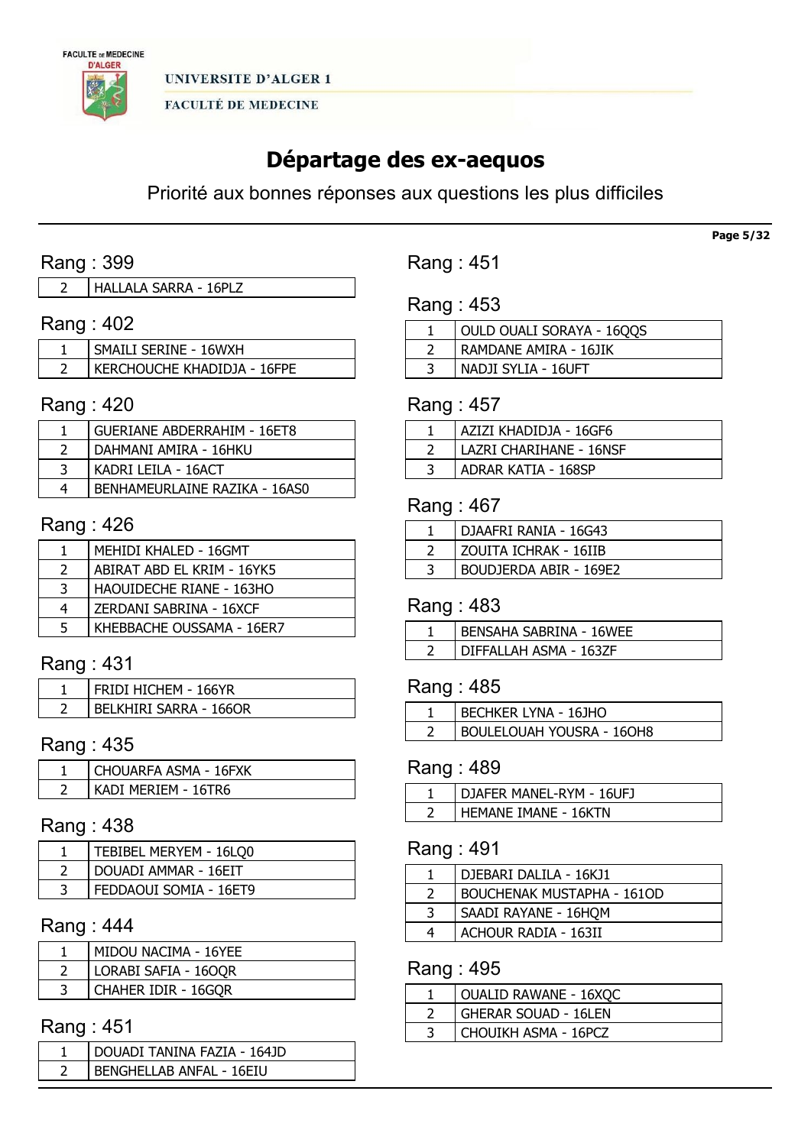

# Départage des ex-aequos

Priorité aux bonnes réponses aux questions les plus difficiles

# Rang : 399

# Rang : 402

| SMAILI SERINE - 16WXH       |
|-----------------------------|
| KERCHOUCHE KHADIDJA - 16FPE |

### Rang : 420

| <b>GUERIANE ABDERRAHIM - 16ET8</b> |
|------------------------------------|
| DAHMANI AMIRA - 16HKU              |
| KADRI LEILA - 16ACT                |
| BENHAMEURLAINE RAZIKA - 16AS0      |

### Rang : 426

|               | MEHIDI KHALED - 16GMT      |
|---------------|----------------------------|
| $\mathcal{L}$ | ABIRAT ABD EL KRIM - 16YK5 |
| 3             | HAOUIDECHE RIANE - 163HO   |
| 4             | ZERDANI SABRINA - 16XCF    |
| 5             | KHEBBACHE OUSSAMA - 16ER7  |

# Rang : 431

| FRIDI HICHEM - 166YR   |
|------------------------|
| BELKHIRI SARRA - 166OR |

# Rang : 435

| CHOUARFA ASMA - 16FXK |
|-----------------------|
| KADI MERIEM - 16TR6   |

### Rang : 438

| TEBIBEL MERYEM - 16LQ0 |
|------------------------|
| DOUADI AMMAR - 16EIT   |
| FEDDAOUI SOMIA - 16ET9 |

# Rang : 444

| MIDOU NACIMA - 16YEE |
|----------------------|
| LORABI SAFIA - 160QR |
| CHAHER IDIR - 16GQR  |

# Rang : 451

| DOUADI TANINA FAZIA - 164JD |
|-----------------------------|
| BENGHELLAB ANFAL - 16EIU    |

Rang : 451

Rang : 453

| OULD OUALI SORAYA - 1600S |
|---------------------------|
| RAMDANE AMIRA - 16JIK     |
| NADJI SYLIA - 16UFT       |

### Rang : 457

| AZIZI KHADIDJA - 16GF6  |
|-------------------------|
| LAZRI CHARIHANE - 16NSF |
| ADRAR KATIA - 168SP     |

### Rang : 467

| DJAAFRI RANIA - 16G43  |
|------------------------|
| ZOUITA ICHRAK - 16IIB  |
| BOUDJERDA ABIR - 169E2 |

### Rang : 483

| DIFFALLAH ASMA - 163ZF |  |
|------------------------|--|

# Rang : 485

| BECHKER LYNA - 16JHO             |
|----------------------------------|
| <b>BOULELOUAH YOUSRA - 16OH8</b> |

# Rang : 489

| DJAFER MANEL-RYM - 16UFJ    |
|-----------------------------|
| <b>HEMANE IMANE - 16KTN</b> |

# Rang : 491

|   | DJEBARI DALILA - 16KJ1            |
|---|-----------------------------------|
|   | <b>BOUCHENAK MUSTAPHA - 1610D</b> |
| 3 | SAADI RAYANE - 16HQM              |
| 4 | ACHOUR RADIA - 163II              |

# Rang : 495

| <b>OUALID RAWANE - 16XQC</b> |
|------------------------------|
| <b>GHERAR SOUAD - 16LEN</b>  |
| CHOUIKH ASMA - 16PCZ         |

Page 5/32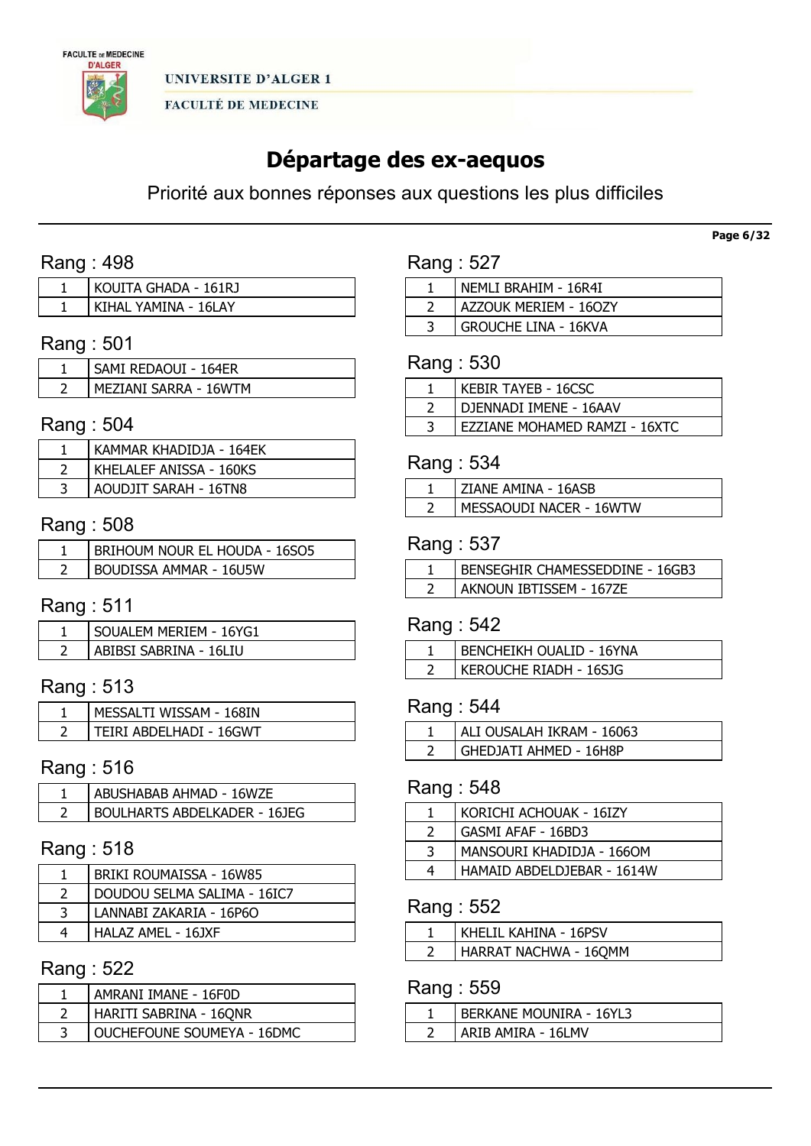

# Départage des ex-aequos

Priorité aux bonnes réponses aux questions les plus difficiles

# Rang : 498

| KOUITA GHADA - 161RJ |
|----------------------|
| KIHAL YAMINA - 16LAY |

# Rang : 501

| SAMI REDAOUI - 164ER  |
|-----------------------|
| MEZIANI SARRA - 16WTM |

# Rang : 504

| KAMMAR KHADIDJA - 164EK |
|-------------------------|
| KHELALEF ANISSA - 160KS |
| AOUDJIT SARAH - 16TN8   |

# Rang : 508

| BRIHOUM NOUR EL HOUDA - 16SO5 |
|-------------------------------|
| BOUDISSA AMMAR - 16U5W        |

# Rang : 511

| SOUALEM MERIEM - 16YG1 |
|------------------------|
| ABIBSI SABRINA - 16LIU |

# Rang : 513

| MESSALTI WISSAM - 168IN |
|-------------------------|
| FIRI ABDELHADI - 16GWT: |

# Rang : 516

| ' ABUSHABAB AHMAD - 16WZE    |
|------------------------------|
| BOULHARTS ABDELKADER - 161EG |

### Rang : 518

| BRIKI ROUMAISSA - 16W85     |
|-----------------------------|
| DOUDOU SELMA SALIMA - 16IC7 |
| LANNABI ZAKARIA - 16P6O     |
| HALAZ AMEL - 16JXF          |

# Rang : 522

| AMRANI IMANE - 16F0D       |
|----------------------------|
| HARITI SABRINA - 16QNR     |
| OUCHEFOUNE SOUMEYA - 16DMC |

| NEMLI BRAHIM - 16R4I        |
|-----------------------------|
| AZZOUK MERIEM - 160ZY       |
| <b>GROUCHE LINA - 16KVA</b> |

#### Rang : 530

| KEBIR TAYEB - 16CSC           |
|-------------------------------|
| DJENNADI IMENE - 16AAV        |
| EZZIANE MOHAMED RAMZI - 16XTC |

### Rang : 534

| ZIANE AMINA - 16ASB     |
|-------------------------|
| MESSAOUDI NACER - 16WTW |
|                         |

### Rang : 537

| I BENSEGHIR CHAMESSEDDINE - 16GB3 |
|-----------------------------------|
| AKNOUN IBTISSEM - 167ZE           |

### Rang : 542

| BENCHEIKH OUALID - 16YNA |
|--------------------------|
| KEROUCHE RIADH - 16SJG   |

### Rang : 544

| ALI OUSALAH IKRAM - 16063 |
|---------------------------|
| GHEDJATI AHMED - 16H8P    |

### Rang : 548

| KORICHI ACHOUAK - 16IZY    |
|----------------------------|
| GASMI AFAF - 16BD3         |
| MANSOURI KHADIDJA - 1660M  |
| HAMAID ABDELDJEBAR - 1614W |
|                            |

### Rang : 552

| i Khelil Kahina - 16PSV      |
|------------------------------|
| <b>HARRAT NACHWA - 16QMM</b> |

### Rang : 559

| BERKANE MOUNIRA - 16YL3 |
|-------------------------|
| ARIB AMIRA - 16LMV      |

Page 6/32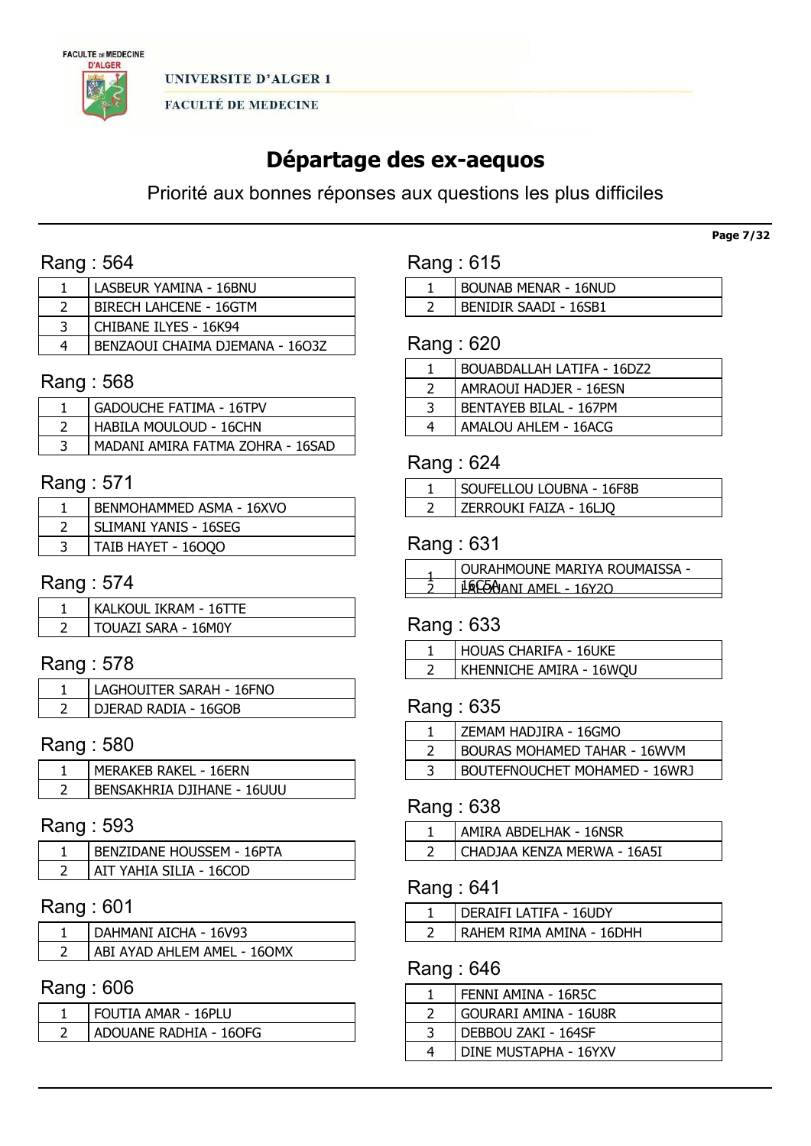

# Départage des ex-aequos

Priorité aux bonnes réponses aux questions les plus difficiles

# Rang : 564

| LASBEUR YAMINA - 16BNU          |
|---------------------------------|
| BIRECH LAHCENE - 16GTM          |
| CHIBANE ILYES - 16K94           |
| BENZAOUI CHAIMA DIEMANA - 1603Z |

### Rang : 568

| GADOUCHE FATIMA - 16TPV          |
|----------------------------------|
| HABILA MOULOUD - 16CHN           |
| MADANI AMIRA FATMA ZOHRA - 16SAD |

# Rang : 571

| BENMOHAMMED ASMA - 16XVO |
|--------------------------|
| SLIMANI YANIS - 16SEG    |
| TAIB HAYET - 16000       |

### Rang : 574

| KALKOUL IKRAM - 16TTE |
|-----------------------|
| TOUAZI SARA - 16M0Y   |

# Rang : 578

| LAGHOUITER SARAH - 16FNO |
|--------------------------|
| DJERAD RADIA - 16GOB     |

# Rang : 580

| <b>MERAKEB RAKEL - 16ERN</b> |
|------------------------------|
| BENSAKHRIA DJIHANE - 16UUU   |

### Rang : 593

| <b>BENZIDANE HOUSSEM - 16PTA</b> |
|----------------------------------|
| AIT YAHIA SILIA - 16COD          |

# Rang : 601

| DAHMANI AICHA - 16V93       |
|-----------------------------|
| ABI AYAD AHLEM AMEL - 160MX |

### Rang : 606

| FOUTIA AMAR - 16PLU |                        |
|---------------------|------------------------|
|                     |                        |
|                     | ADOUANE RADHIA - 160FG |

| Rang: 615 |  |  |
|-----------|--|--|
|           |  |  |

| BOUNAB MENAR - 16NUD  |
|-----------------------|
| BENIDIR SAADI - 16SB1 |

# Rang : 620

|   | <b>BOUABDALLAH LATIFA - 16DZ2</b> |
|---|-----------------------------------|
|   | AMRAOUI HADJER - 16ESN            |
| 3 | <b>BENTAYEB BILAL - 167PM</b>     |
| 4 | AMALOU AHLEM - 16ACG              |

### Rang : 624

| SOUFELLOU LOUBNA - 16F8B |
|--------------------------|
| ZERROUKI FAIZA - 16LJO   |

### Rang : 631

| <b>OURAHMOUNE MARIYA ROUMAISSA -</b> |
|--------------------------------------|
| AJANI AMFI - 16Y20                   |
|                                      |

### Rang : 633

| HOUAS CHARIFA - 16UKE   |
|-------------------------|
| KHENNICHE AMIRA - 16WQU |

### Rang : 635

| ZEMAM HADJIRA - 16GMO         |
|-------------------------------|
| BOURAS MOHAMED TAHAR - 16WVM  |
| BOUTEFNOUCHET MOHAMED - 16WRJ |
|                               |

# Rang : 638

| CHADJAA KENZA MERWA - 16A5I |  |
|-----------------------------|--|

# Rang : 641

| DERAIFI LATIFA - 16UDY   |
|--------------------------|
| RAHEM RIMA AMINA - 16DHH |

# Rang : 646

| FENNI AMINA - 16R5C   |
|-----------------------|
| GOURARI AMINA - 16U8R |
| DEBBOU ZAKI - 164SF   |
| DINE MUSTAPHA - 16YXV |

Page 7/32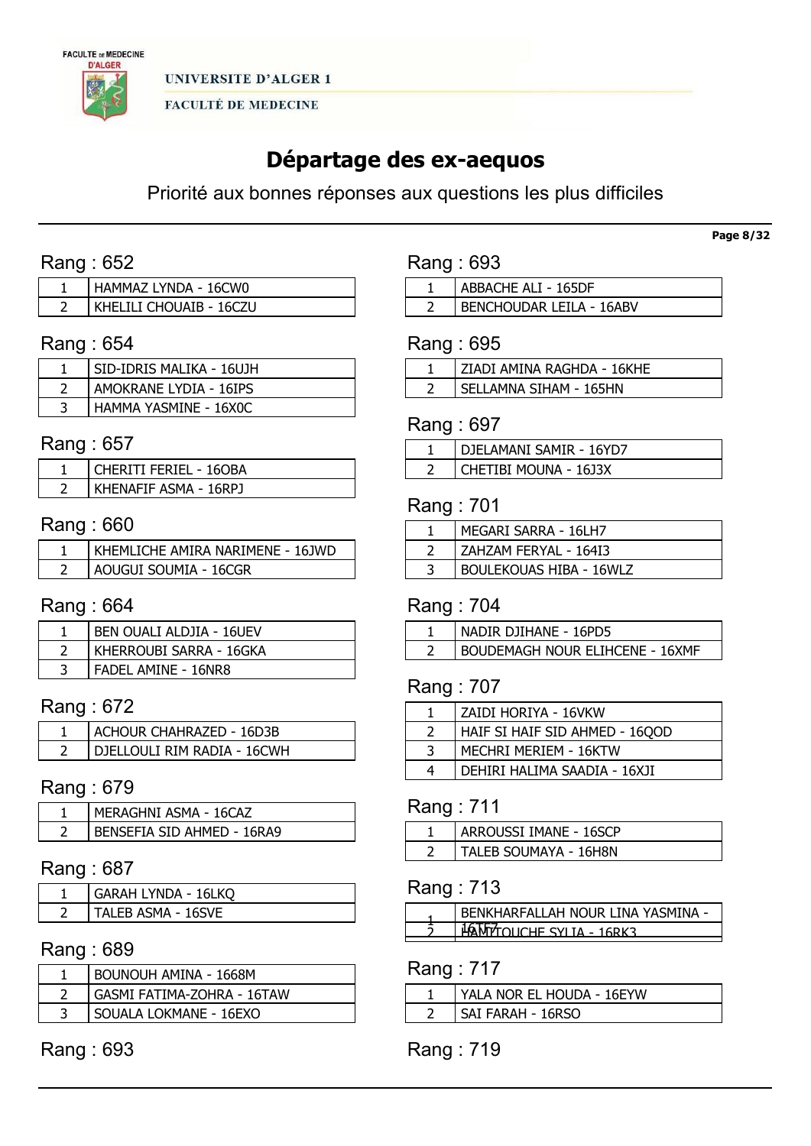

# Départage des ex-aequos

Priorité aux bonnes réponses aux questions les plus difficiles

# Rang : 652

| HAMMAZ LYNDA - 16CW0    |
|-------------------------|
| KHELILI CHOUAIB - 16CZU |

### Rang : 654

| SID-IDRIS MALIKA - 16UJH |
|--------------------------|
| AMOKRANE LYDIA - 16IPS   |
| HAMMA YASMINE - 16X0C    |

### Rang : 657

| 'CHERITI FERIEL - 160BA |
|-------------------------|
| KHENAFIF ASMA - 16RPJ   |

### Rang : 660

| KHEMLICHE AMIRA NARIMENE - 16JWD |
|----------------------------------|
| AOUGUI SOUMIA - 16CGR            |

# Rang : 664

| BEN OUALI ALDJIA - 16UEV   |
|----------------------------|
| KHERROUBI SARRA - 16GKA    |
| <b>FADEL AMINE - 16NR8</b> |

# Rang : 672

| ACHOUR CHAHRAZED - 16D3B    |
|-----------------------------|
| DIELLOULI RIM RADIA - 16CWH |

# Rang : 679

| MERAGHNI ASMA - 16CAZ      |
|----------------------------|
| BENSEFIA SID AHMED - 16RA9 |

### Rang : 687

| GARAH LYNDA - 16LKO |
|---------------------|
| TALEB ASMA - 16SVE  |

### Rang : 689

| BOUNOUH AMINA - 1668M      |
|----------------------------|
| GASMI FATIMA-ZOHRA - 16TAW |
| SOUALA LOKMANE - 16EXO     |

# Rang : 693

| Rang: 693           |
|---------------------|
| ABBACHE ALI - 165DF |

BENCHOUDAR LEILA - 16ABV

# Rang : 695

| ZIADI AMINA RAGHDA - 16KHE |
|----------------------------|
| SELLAMNA SIHAM - 165HN     |

### Rang : 697

| ' DJELAMANI SAMIR - 16YD7 |
|---------------------------|
| CHETIBI MOUNA - 16J3X     |

# Rang : 701

| MEGARI SARRA - 16LH7           |
|--------------------------------|
| ZAHZAM FERYAL - 164I3          |
| <b>BOULEKOUAS HIBA - 16WLZ</b> |

# Rang : 704

| NADIR DJIHANE - 16PD5                  |
|----------------------------------------|
| <b>BOUDEMAGH NOUR ELIHCENE - 16XMF</b> |

# Rang : 707

| ZAIDI HORIYA - 16VKW           |
|--------------------------------|
| HAIF SI HAIF SID AHMED - 16QOD |
| MECHRI MERIEM - 16KTW          |
| DEHIRI HALIMA SAADIA - 16XJI   |
|                                |

### Rang : 711

| ARROUSSI IMANE - 16SCP |
|------------------------|
| TALEB SOUMAYA - 16H8N  |

# Rang : 713

| FNKHARFAI I AH NOUR I INA YASMINA I |
|-------------------------------------|
| OLICHE SYLIA - 1                    |

# Rang : 717

| YALA NOR EL HOUDA - 16EYW |
|---------------------------|
| SAI FARAH - 16RSO         |

# Rang : 719

Page 8/32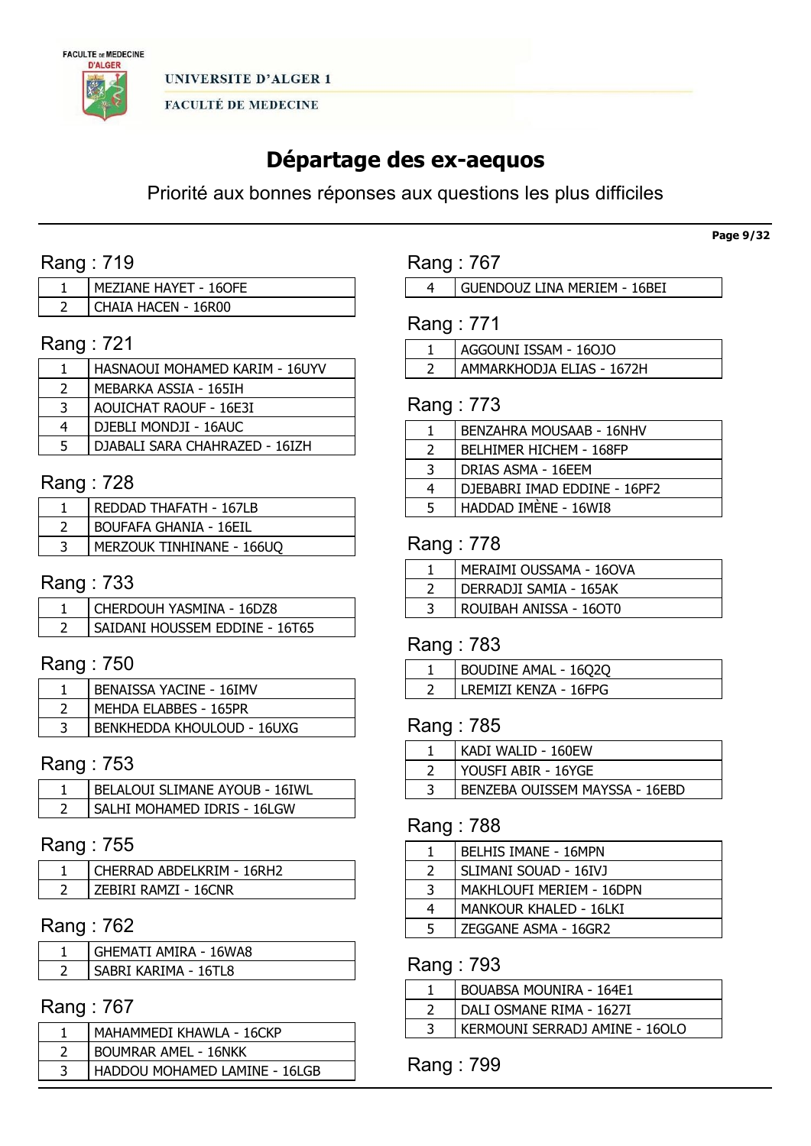

# Départage des ex-aequos

Priorité aux bonnes réponses aux questions les plus difficiles

# Rang : 719

| MEZIANE HAYET - 16OFE |
|-----------------------|
| CHAIA HACEN - 16R00   |

# Rang : 721

|   | HASNAOUI MOHAMED KARIM - 16UYV |
|---|--------------------------------|
|   | MEBARKA ASSIA - 165IH          |
| 3 | AOUICHAT RAOUF - 16E3I         |
| 4 | DJEBLI MONDJI - 16AUC          |
| 5 | DJABALI SARA CHAHRAZED - 16IZH |

# Rang : 728

| REDDAD THAFATH - 167LB        |
|-------------------------------|
| <b>BOUFAFA GHANIA - 16EIL</b> |
| MERZOUK TINHINANE - 166UO     |

### Rang : 733

| CHERDOUH YASMINA - 16DZ8       |
|--------------------------------|
| SAIDANI HOUSSEM EDDINE - 16T65 |

# Rang : 750

| <b>BENAISSA YACINE - 16IMV</b>    |
|-----------------------------------|
| MEHDA ELABBES - 165PR             |
| <b>BENKHEDDA KHOULOUD - 16UXG</b> |

# Rang : 753

| BELALOUI SLIMANE AYOUB - 16IWL |
|--------------------------------|
| SALHI MOHAMED IDRIS - 16LGW    |

# Rang : 755

| CHERRAD ABDELKRIM - 16RH2 |
|---------------------------|
| ZEBIRI RAMZI - 16CNR      |

# Rang : 762

| <b>GHEMATI AMIRA - 16WA8</b> |
|------------------------------|
| SABRI KARIMA - 16TL8         |

# Rang : 767

| MAHAMMEDI KHAWLA - 16CKP      |
|-------------------------------|
| <b>BOUMRAR AMEL - 16NKK</b>   |
| HADDOU MOHAMED LAMINE - 16LGB |

### Rang : 767

GUENDOUZ LINA MERIEM - 16BEI

# Rang : 771

| AGGOUNI ISSAM - 160JO     |
|---------------------------|
| AMMARKHODJA ELIAS - 1672H |

### Rang : 773

|               | BENZAHRA MOUSAAB - 16NHV       |
|---------------|--------------------------------|
| $\mathcal{L}$ | <b>BELHIMER HICHEM - 168FP</b> |
| 3             | DRIAS ASMA - 16EEM             |
| 4             | DJEBABRI IMAD EDDINE - 16PF2   |
| 5             | HADDAD IMENE - 16WI8           |
|               |                                |

### Rang : 778

| MERAIMI OUSSAMA - 160VA |
|-------------------------|
| DERRADJI SAMIA - 165AK  |
| ROUIBAH ANISSA - 160T0  |

#### Rang : 783

| BOUDINE AMAL - 16Q2Q  |
|-----------------------|
| LREMIZI KENZA - 16FPG |

## Rang : 785

| KADI WALID - 160EW             |
|--------------------------------|
| YOUSFI ABIR - 16YGE            |
| BENZEBA OUISSEM MAYSSA - 16EBD |

### Rang : 788

|                          | BELHIS IMANE - 16MPN     |
|--------------------------|--------------------------|
| $\overline{\phantom{a}}$ | SLIMANI SOUAD - 16IVJ    |
| 3                        | MAKHLOUFI MERIEM - 16DPN |
| 4                        | MANKOUR KHALED - 16LKI   |
| 5                        | ZEGGANE ASMA - 16GR2     |

### Rang : 793

| <b>BOUABSA MOUNIRA - 164E1</b> |
|--------------------------------|
| DALI OSMANE RIMA - 1627I       |
| KERMOUNI SERRADJ AMINE - 16OLO |

Rang : 799

Page 9/32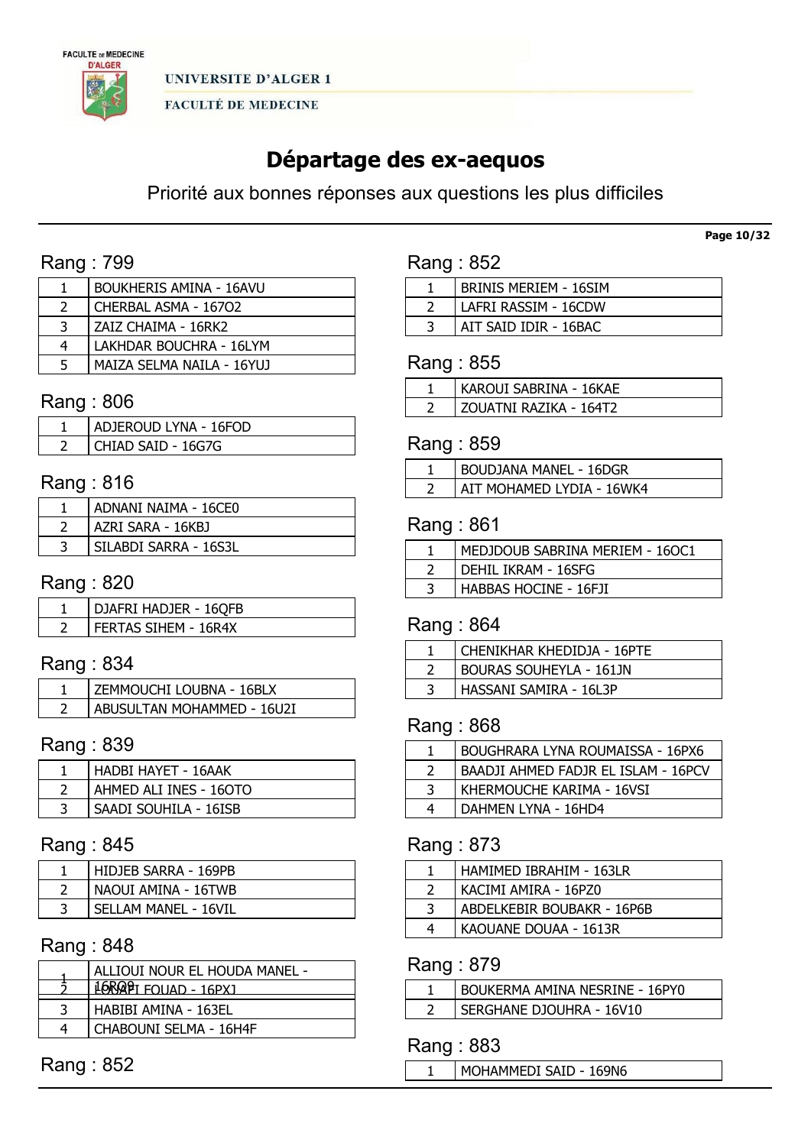

# Départage des ex-aequos

Priorité aux bonnes réponses aux questions les plus difficiles

# Rang : 799

|                | BOUKHERIS AMINA - 16AVU   |
|----------------|---------------------------|
| $\overline{2}$ | CHERBAL ASMA - 16702      |
| 3              | ZAIZ CHAIMA - 16RK2       |
| 4              | LAKHDAR BOUCHRA - 16LYM   |
| 5              | MAIZA SELMA NAILA - 16YUJ |

### Rang : 806

| ADJEROUD LYNA - 16FOD |
|-----------------------|
| CHIAD SAID - 16G7G    |

# Rang : 816

| ADNANI NAIMA - 16CE0  |
|-----------------------|
| AZRI SARA - 16KBJ     |
| SILABDI SARRA - 16S3L |

# Rang : 820

| DJAFRI HADJER - 16QFB |
|-----------------------|
| FERTAS SIHEM - 16R4X  |

# Rang : 834

| ZEMMOUCHI LOUBNA - 16BLX   |
|----------------------------|
| ABUSULTAN MOHAMMED - 16U2I |

# Rang : 839

| HADBI HAYET - 16AAK    |
|------------------------|
| AHMED ALI INES - 160TO |
| SAADI SOUHILA - 16ISB  |

# Rang : 845

| HIDJEB SARRA - 169PB |
|----------------------|
| NAOUI AMINA - 16TWB  |
| SELLAM MANEL - 16VIL |

# Rang : 848

| ALLIOUI NOUR EL HOUDA MANEL - |
|-------------------------------|
| $16RQP$ I FOUAD - $16PX$      |
| HABIBI AMINA - 163EL          |
| CHABOUNI SELMA - 16H4F        |

Rang : 852

| Rang : 852 |  |
|------------|--|
|            |  |

| BRINIS MERIEM - 16SIM |
|-----------------------|
| LAFRI RASSIM - 16CDW  |
| AIT SAID IDIR - 16BAC |

### Rang : 855

| KAROUI SABRINA - 16KAE   |
|--------------------------|
| I 70UATNI RAZIKA - 164T2 |

# Rang : 859

| <b>BOUDJANA MANEL - 16DGR</b> |
|-------------------------------|
| AIT MOHAMED I YDIA - 16WK4    |

### Rang : 861

| MEDJDOUB SABRINA MERIEM - 160C1 |
|---------------------------------|
| DEHIL IKRAM - 16SFG             |
| HABBAS HOCINE - 16FJI           |

### Rang : 864

| CHENIKHAR KHEDIDJA - 16PTE     |
|--------------------------------|
| <b>BOURAS SOUHEYLA - 161JN</b> |
| HASSANI SAMIRA - 16L3P         |

## Rang : 868

|   | BOUGHRARA LYNA ROUMAISSA - 16PX6    |
|---|-------------------------------------|
|   | BAADJI AHMED FADJR EL ISLAM - 16PCV |
|   | KHERMOUCHE KARIMA - 16VSI           |
| 4 | DAHMEN LYNA - 16HD4                 |

# Rang : 873

|   | HAMIMED IBRAHIM - 163LR    |
|---|----------------------------|
|   | KACIMI AMIRA - 16PZ0       |
| 3 | ABDELKEBIR BOUBAKR - 16P6B |
| 4 | KAOUANE DOUAA - 1613R      |

### Rang : 879

| BOUKERMA AMINA NESRINE - 16PY0 |
|--------------------------------|
| SERGHANE DJOUHRA - 16V10       |

### Rang : 883

MOHAMMEDI SAID - 169N6

#### Page 10/32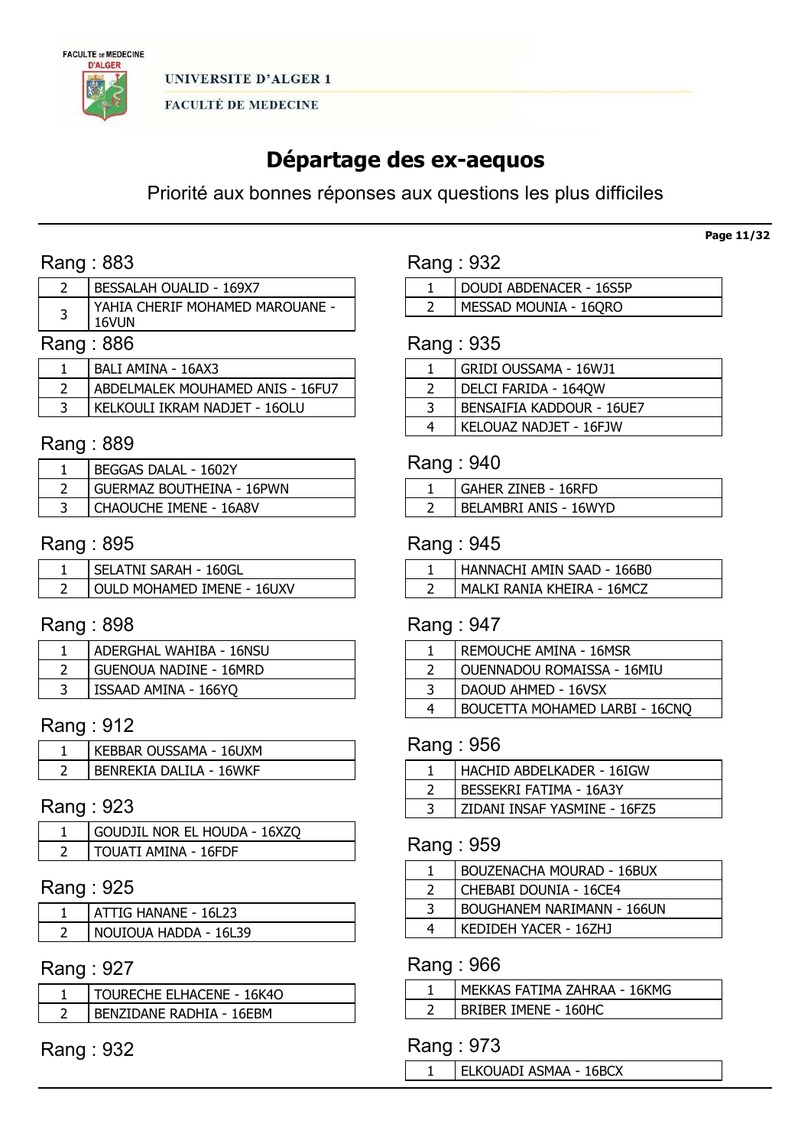

# Départage des ex-aequos

Priorité aux bonnes réponses aux questions les plus difficiles

# Rang : 883

|              | BESSALAH OUALID - 169X7                  |
|--------------|------------------------------------------|
|              | YAHIA CHERIF MOHAMED MAROUANE -<br>16VUN |
| . <b>nnn</b> |                                          |

### Rang : 886

| BALI AMINA - 16AX3               |
|----------------------------------|
| ABDELMALEK MOUHAMED ANIS - 16FU7 |
| KELKOULI IKRAM NADJET - 16OLU    |

## Rang : 889

| BEGGAS DALAL - 1602Y             |
|----------------------------------|
| <b>GUERMAZ BOUTHEINA - 16PWN</b> |
| <b>CHAOUCHE IMENE - 16A8V</b>    |

# Rang : 895

| SELATNI SARAH - 160GL      |
|----------------------------|
| OULD MOHAMED IMENE - 16UXV |

### Rang : 898

| ADERGHAL WAHIBA - 16NSU       |
|-------------------------------|
| <b>GUENOUA NADINE - 16MRD</b> |
| ISSAAD AMINA - 166YQ          |

# Rang : 912

| KEBBAR OUSSAMA - 16UXM  |
|-------------------------|
| RENREKIA DALILA - 16WKF |

### Rang : 923

| GOUDJIL NOR EL HOUDA - 16XZQ |
|------------------------------|
| I TOUATI AMINA - 16FDF       |

# Rang : 925

| ATTIG HANANE - 16L23  |
|-----------------------|
| NOUIOUA HADDA - 16L39 |

# Rang : 927

| TOURECHE ELHACENE - 16K4O |
|---------------------------|
| BENZIDANE RADHIA - 16FBM  |

Rang : 932

| Rang : 932 |  |  |
|------------|--|--|
|------------|--|--|

| DOUDI ABDENACER - 16S5P |
|-------------------------|
| I MESSAD MOUNIA - 16QRO |

### Rang : 935

|   | GRIDI OUSSAMA - 16WJ1     |
|---|---------------------------|
|   | DELCI FARIDA - 164QW      |
| 3 | BENSAIFIA KADDOUR - 16UE7 |
| 4 | KELOUAZ NADJET - 16FJW    |

### Rang : 940

| GAHER ZINEB - 16RFD   |
|-----------------------|
| BELAMBRI ANIS - 16WYD |

### Rang : 945

| HANNACHI AMIN SAAD - 166B0 |
|----------------------------|
| MALKI RANIA KHEIRA - 16MCZ |

# Rang : 947

|   | REMOUCHE AMINA - 16MSR         |
|---|--------------------------------|
|   | OUENNADOU ROMAISSA - 16MIU     |
| 3 | DAOUD AHMED - 16VSX            |
|   | BOUCETTA MOHAMED LARBI - 16CNQ |

### Rang : 956

| HACHID ABDELKADER - 16IGW    |
|------------------------------|
| BESSEKRI FATIMA - 16A3Y      |
| ZIDANI INSAF YASMINE - 16FZ5 |

# Rang : 959

|   | <b>BOUZENACHA MOURAD - 16BUX</b> |
|---|----------------------------------|
|   | CHEBABI DOUNIA - 16CE4           |
| ⊇ | BOUGHANEM NARIMANN - 166UN       |
| 4 | KEDIDEH YACER - 16ZHJ            |

# Rang : 966

| MEKKAS FATIMA ZAHRAA - 16KMG |
|------------------------------|
| BRIBER IMENE - 160HC         |

### Rang : 973

ELKOUADI ASMAA - 16BCX

### Page 11/32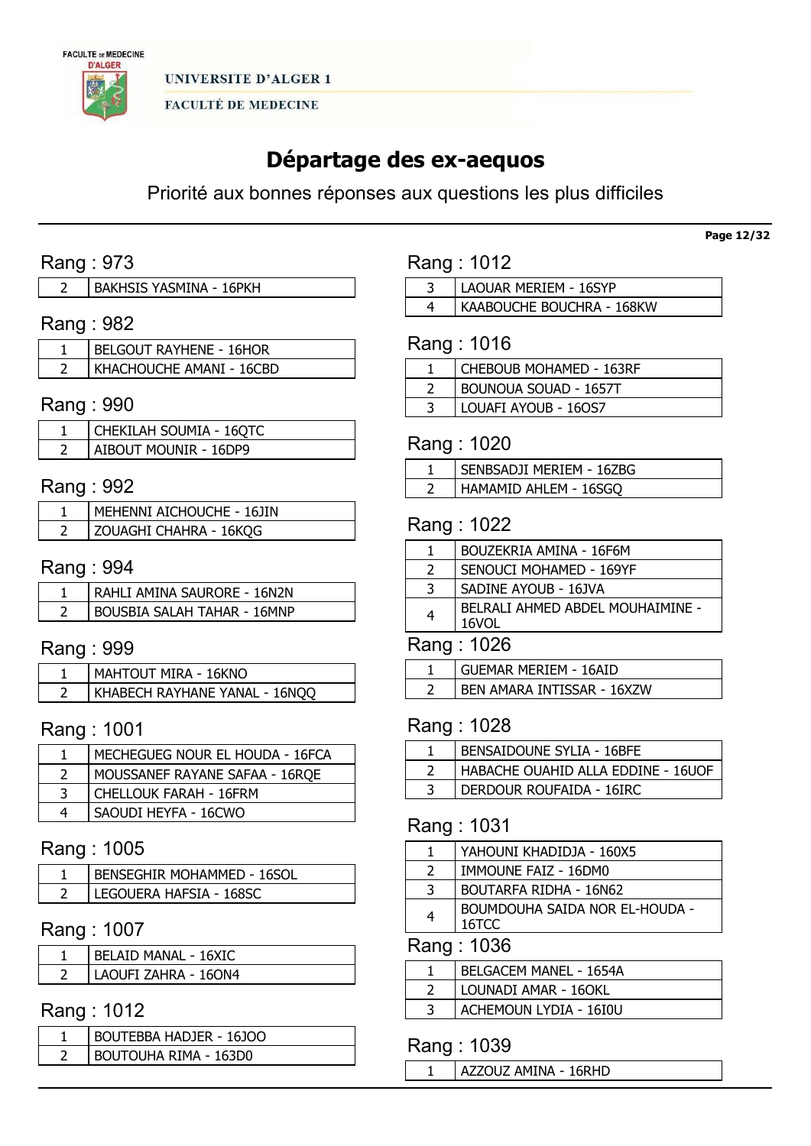

# Départage des ex-aequos

Priorité aux bonnes réponses aux questions les plus difficiles

# Rang : 973

# Rang : 982

| BELGOUT RAYHENE - 16HOR  |
|--------------------------|
| KHACHOUCHE AMANI - 16CBD |

### Rang : 990

| CHEKILAH SOUMIA - 16QTC      |
|------------------------------|
| <b>AIBOUT MOUNIR - 16DP9</b> |

# Rang : 992

| MEHENNI AICHOUCHE - 16JIN |
|---------------------------|
| zouaghi Chahra - 16kqg    |

### Rang : 994

| RAHLI AMINA SAURORE - 16N2N |
|-----------------------------|
| BOUSBIA SALAH TAHAR - 16MNP |

### Rang : 999

| MAHTOUT MIRA - 16KNO          |
|-------------------------------|
| KHABECH RAYHANE YANAL - 16NQQ |

# Rang : 1001

| MECHEGUEG NOUR EL HOUDA - 16FCA |
|---------------------------------|
| MOUSSANEF RAYANE SAFAA - 16RQE  |
| CHELLOUK FARAH - 16FRM          |
| SAOUDI HEYFA - 16CWO            |

### Rang : 1005

| <b>BENSEGHIR MOHAMMED - 16SOL</b> |
|-----------------------------------|
| LEGOUERA HAFSIA - 168SC           |

### Rang : 1007

| <b>BELAID MANAL - 16XIC</b> |
|-----------------------------|
| LAOUFI ZAHRA - 160N4        |

# Rang : 1012

| BOUTEBBA HADJER - 16JOO |
|-------------------------|
| BOUTOUHA RIMA - 163D0   |

| Rang: 1012 |  |  |
|------------|--|--|
|            |  |  |

 LAOUAR MERIEM - 16SYP KAABOUCHE BOUCHRA - 168KW

# Rang : 1016

| CHEBOUB MOHAMED - 163RF |
|-------------------------|
| BOUNOUA SOUAD - 1657T   |
| LOUAFI AYOUB - 160S7    |

# Rang : 1020

| SENBSADJI MERIEM - 16ZBG |
|--------------------------|
| HAMAMID AHLEM - 16SGO    |

### Rang : 1022

|               | BOUZEKRIA AMINA - 16F6M                   |
|---------------|-------------------------------------------|
| $\mathcal{L}$ | SENOUCI MOHAMED - 169YF                   |
| -3            | SADINE AYOUB - 16JVA                      |
| 4             | BELRALI AHMED ABDEL MOUHAIMINE -<br>16VOL |
| Rang: 1026    |                                           |

| <b>GUEMAR MERIEM - 16AID</b> |  |
|------------------------------|--|
| BEN AMARA INTISSAR - 16XZW   |  |

## Rang : 1028

| <b>BENSAIDOUNE SYLIA - 16BFE</b>   |
|------------------------------------|
| HABACHE OUAHID ALLA EDDINE - 16UOF |
| DERDOUR ROUFAIDA - 16IRC           |

# Rang : 1031

|               | YAHOUNI KHADIDJA - 160X5                |
|---------------|-----------------------------------------|
| $\mathcal{L}$ | IMMOUNE FAIZ - 16DM0                    |
| 3             | BOUTARFA RIDHA - 16N62                  |
| 4             | BOUMDOUHA SAIDA NOR EL-HOUDA -<br>16TCC |
|               | Rang: 1036                              |

| BELGACEM MANEL - 1654A |
|------------------------|
| LOUNADI AMAR - 160KL   |
| ACHEMOUN LYDIA - 16I0U |

### Rang : 1039

AZZOUZ AMINA - 16RHD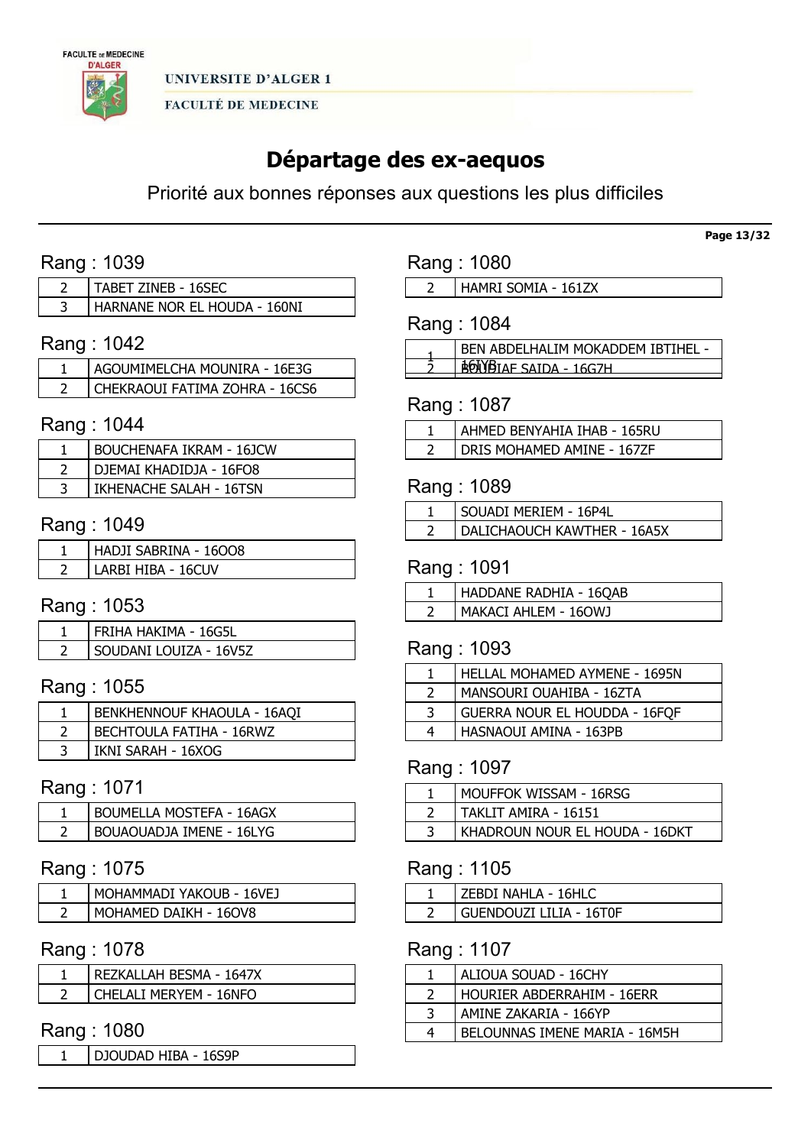

# Départage des ex-aequos

Priorité aux bonnes réponses aux questions les plus difficiles

# Rang : 1039

| TABET ZINEB - 16SEC          |
|------------------------------|
| HARNANE NOR EL HOUDA - 160NI |

# Rang : 1042

| AGOUMIMELCHA MOUNIRA - 16E3G   |
|--------------------------------|
| CHEKRAOUI FATIMA ZOHRA - 16CS6 |

### Rang : 1044

| BOUCHENAFA IKRAM - 16JCW |
|--------------------------|
| DJEMAI KHADIDJA - 16FO8  |
| IKHENACHE SALAH - 16TSN  |

### Rang : 1049

| HADJI SABRINA - 16008 |
|-----------------------|
| LARBI HIBA - 16CUV    |

# Rang : 1053

| FRIHA HAKIMA - 16G5L   |
|------------------------|
| SOUDANI LOUIZA - 16V5Z |

# Rang : 1055

| <b>BENKHENNOUF KHAOULA - 16AQI</b> |
|------------------------------------|
| BECHTOULA FATIHA - 16RWZ           |
| IKNI SARAH - 16XOG                 |

# Rang : 1071

| <b>BOUMELLA MOSTEFA - 16AGX</b> |
|---------------------------------|
| BOUAOUADJA IMENE - 16LYG        |

### Rang : 1075

| MOHAMMADI YAKOUB - 16VEJ |
|--------------------------|
| MOHAMED DAIKH - 160V8    |

### Rang : 1078

| REZKALLAH BESMA - 1647X |
|-------------------------|
| CHELALI MERYEM - 16NFO  |

# Rang : 1080

DJOUDAD HIBA - 16S9P

# Rang : 1080

HAMRI SOMIA - 161ZX

# Rang : 1084

| BEN ABDELHALIM MOKADDEM IBTIHEL - |
|-----------------------------------|
| <b>ADIJIN</b> TAE SATOA - 16G7H   |

### Rang : 1087

| AHMED BENYAHIA IHAB - 165RU |
|-----------------------------|
| DRIS MOHAMED AMINE - 167ZF  |

# Rang : 1089

| SOUADI MERIEM - 16P4L       |
|-----------------------------|
| DALICHAOUCH KAWTHER - 16A5X |

### Rang : 1091

| HADDANE RADHIA - 16QAB |
|------------------------|
| MAKACI AHLEM - 160WJ   |

### Rang : 1093

|   | HELLAL MOHAMED AYMENE - 1695N |
|---|-------------------------------|
|   | MANSOURI OUAHIBA - 16ZTA      |
| 3 | GUERRA NOUR EL HOUDDA - 16FQF |
| 4 | HASNAOUI AMINA - 163PB        |
|   |                               |

### Rang : 1097

| MOUFFOK WISSAM - 16RSG         |
|--------------------------------|
| TAKLIT AMIRA - 16151           |
| KHADROUN NOUR EL HOUDA - 16DKT |

### Rang : 1105

| EBDI NAHLA - 16HLC      |
|-------------------------|
| GUENDOUZI LILIA - 16T0F |

### Rang : 1107

| ALIOUA SOUAD - 16CHY          |
|-------------------------------|
| HOURIER ABDERRAHIM - 16ERR    |
| AMINE ZAKARIA - 166YP         |
| BELOUNNAS IMENE MARIA - 16M5H |

#### Page 13/32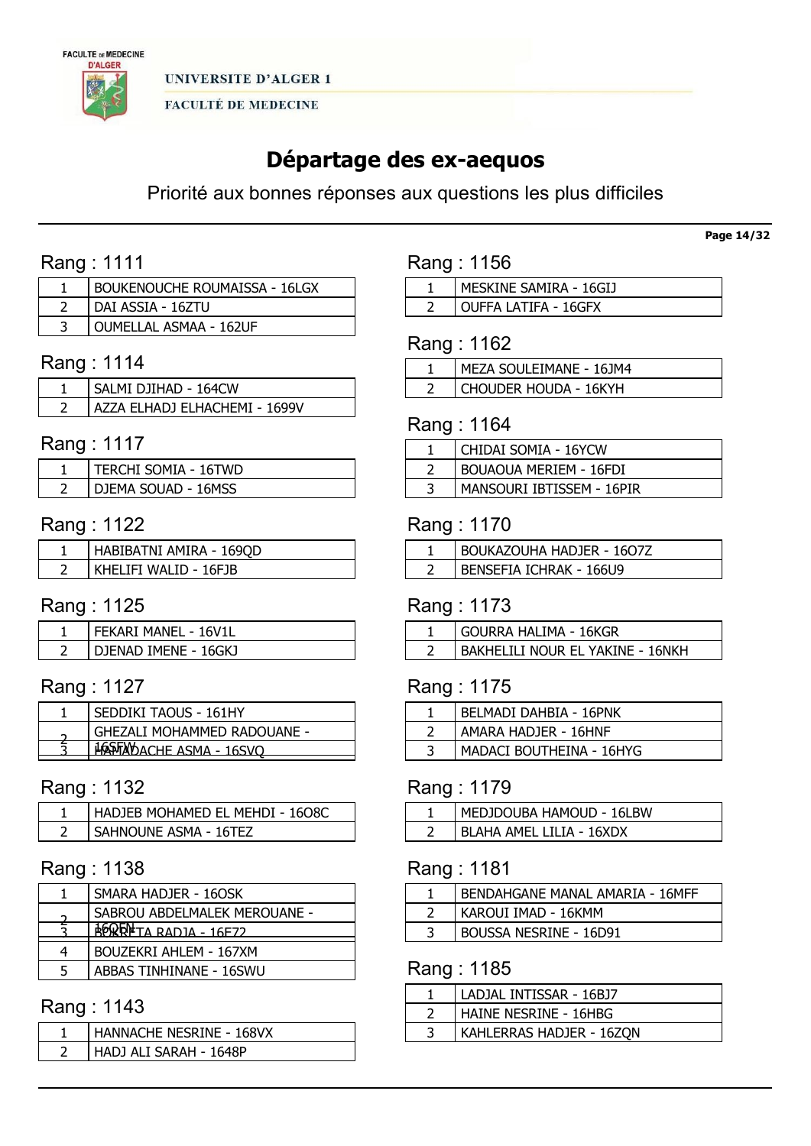

# Départage des ex-aequos

Priorité aux bonnes réponses aux questions les plus difficiles

# Rang : 1111

| BOUKENOUCHE ROUMAISSA - 16LGX |
|-------------------------------|
| DAI ASSIA - 16ZTU             |
| OUMELLAL ASMAA - 162UF        |

# Rang : 1114

| SALMI DJIHAD - 164CW          |
|-------------------------------|
| AZZA ELHADJ ELHACHEMI - 1699V |

# Rang : 1117

| TERCHI SOMIA - 16TWD |
|----------------------|
| DJEMA SOUAD - 16MSS  |

# Rang : 1122

| HABIBATNI AMIRA - 169QD |
|-------------------------|
| KHELIFI WALID - 16FJB   |

# Rang : 1125

| . FEKARI MANEL - 16V1L |
|------------------------|
| DJENAD IMENE - 16GKJ   |

# Rang : 1127

| SEDDIKI TAOUS - 161HY            |
|----------------------------------|
| GHEZALI MOHAMMED RADOUANE -      |
| <b>HASTAY DACHE ASMA - 16SVO</b> |
|                                  |

### Rang : 1132

| HADJEB MOHAMED EL MEHDI - 1608C |
|---------------------------------|
| SAHNOUNE ASMA - 16TEZ           |

### Rang : 1138

|   | SMARA HADJER - 16OSK         |
|---|------------------------------|
|   | SABROU ABDELMALEK MEROUANE - |
|   | A FOR RADJA - 16E72          |
| 4 | BOUZEKRI AHLEM - 167XM       |
| 5 | ABBAS TINHINANE - 16SWU      |

# Rang : 1143

| HANNACHE NESRINE - 168VX |
|--------------------------|
| HADJ ALI SARAH - 1648P   |

| Rang : 1156 |  |  |  |
|-------------|--|--|--|
|-------------|--|--|--|

| MESKINE SAMIRA - 16GIJ |
|------------------------|
| OUFFA LATIFA - 16GFX   |

# Rang : 1162

| MEZA SOULEIMANE - 16JM4 |
|-------------------------|
| I CHOUDER HOUDA - 16KYH |

### Rang : 1164

| CHIDAI SOMIA - 16YCW          |
|-------------------------------|
| <b>BOUAOUA MERIEM - 16FDI</b> |
| MANSOURI IBTISSEM - 16PIR     |

### Rang : 1170

| <b>BOUKAZOUHA HADJER - 1607Z</b> |
|----------------------------------|
| BENSEFIA ICHRAK - 166U9          |

# Rang : 1173

| l Gourra Halima - 16kgr          |
|----------------------------------|
| BAKHELILI NOUR EL YAKINE - 16NKH |

# Rang : 1175

| BELMADI DAHBIA - 16PNK   |
|--------------------------|
| AMARA HADJER - 16HNF     |
| MADACI BOUTHEINA - 16HYG |

### Rang : 1179

| MEDJDOUBA HAMOUD - 16LBW        |
|---------------------------------|
| <b>BLAHA AMEL LILIA - 16XDX</b> |

# Rang : 1181

| <b>BENDAHGANE MANAL AMARIA - 16MFF</b> |
|----------------------------------------|
| KAROUI IMAD - 16KMM                    |
| <b>BOUSSA NESRINE - 16D91</b>          |

# Rang : 1185

| LADJAL INTISSAR - 16BJ7  |
|--------------------------|
| HAINE NESRINE - 16HBG    |
| KAHLERRAS HADJER - 16ZON |

#### Page 14/32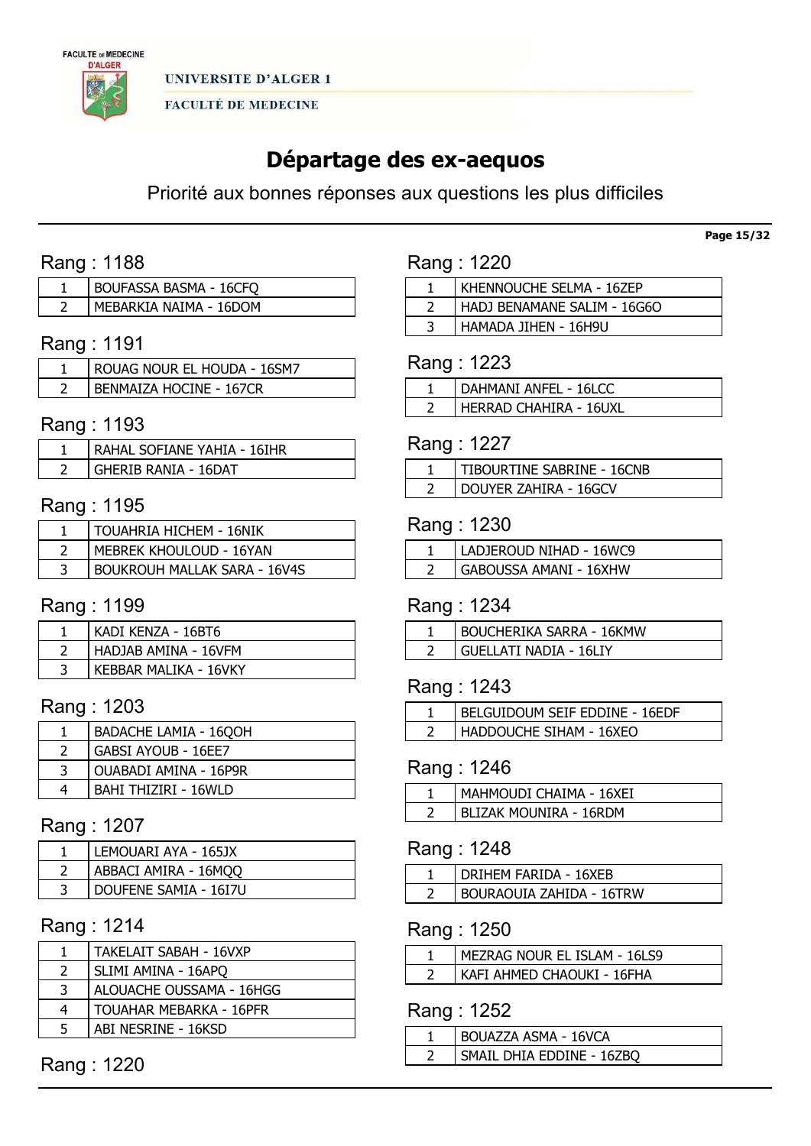

# Départage des ex-aequos

Priorité aux bonnes réponses aux questions les plus difficiles

# Rang : 1188

| <b>BOUFASSA BASMA - 16CFQ</b> |
|-------------------------------|
| MEBARKIA NAIMA - 16DOM        |

# Rang : 1191

| ROUAG NOUR EL HOUDA - 16SM7    |
|--------------------------------|
| <b>BENMAIZA HOCINE - 167CR</b> |

### Rang : 1193

| RAHAL SOFIANE YAHIA - 16IHR |
|-----------------------------|
| GHERIB RANIA - 16DAT        |

### Rang : 1195

| TOUAHRIA HICHEM - 16NIK             |
|-------------------------------------|
| MEBREK KHOULOUD - 16YAN             |
| <b>BOUKROUH MALLAK SARA - 16V4S</b> |

# Rang : 1199

| KADI KENZA - 16BT6    |
|-----------------------|
| HADJAB AMINA - 16VFM  |
| KEBBAR MALIKA - 16VKY |

## Rang : 1203

|   | <b>BADACHE LAMIA - 1600H</b> |
|---|------------------------------|
|   | <b>GABSI AYOUB - 16EE7</b>   |
| 3 | OUABADI AMINA - 16P9R        |
| 4 | BAHI THIZIRI - 16WLD         |

### Rang : 1207

| LEMOUARI AYA - 165JX  |
|-----------------------|
| ABBACI AMIRA - 16MQQ  |
| DOUFENE SAMIA - 16I7U |

### Rang : 1214

|   | TAKELAIT SABAH - 16VXP         |
|---|--------------------------------|
|   | SLIMI AMINA - 16APQ            |
| 3 | ALOUACHE OUSSAMA - 16HGG       |
| 4 | <b>TOUAHAR MEBARKA - 16PFR</b> |
| 5 | ABI NESRINE - 16KSD            |

Rang : 1220

### Rang : 1220

| KHENNOUCHE SELMA - 16ZEP    |
|-----------------------------|
| HADJ BENAMANE SALIM - 16G6O |
| HAMADA JIHEN - 16H9U        |

### Rang : 1223

| <b>DAHMANI ANFEL - 16LCC</b> |
|------------------------------|
| I HERRAD CHAHIRA - 16UXL     |

# Rang : 1227

| TIBOURTINE SABRINE - 16CNB |
|----------------------------|
| DOUYER ZAHIRA - 16GCV      |

#### Rang : 1230

| LADJEROUD NIHAD - 16WC9 |
|-------------------------|
| GABOUSSA AMANI - 16XHW  |

### Rang : 1234

| <b>BOUCHERIKA SARRA - 16KMW</b> |
|---------------------------------|
| GUELLATI NADIA - 16LIY          |

# Rang : 1243

| BELGUIDOUM SEIF EDDINE - 16EDF |
|--------------------------------|
| HADDOUCHE SIHAM - 16XEO        |

### Rang : 1246

| MAHMOUDI CHAIMA - 16XEI |
|-------------------------|
| BLIZAK MOUNIRA - 16RDM  |

# Rang : 1248

| DRIHEM FARIDA - 16XEB           |
|---------------------------------|
| <b>BOURAOUIA ZAHIDA - 16TRW</b> |

### Rang : 1250

| MEZRAG NOUR EL ISLAM - 16LS9 |
|------------------------------|
| KAFI AHMED CHAOUKI - 16FHA   |

# Rang : 1252

| BOUAZZA ASMA - 16VCA      |
|---------------------------|
| SMAIL DHIA EDDINE - 16ZBO |

Page 15/32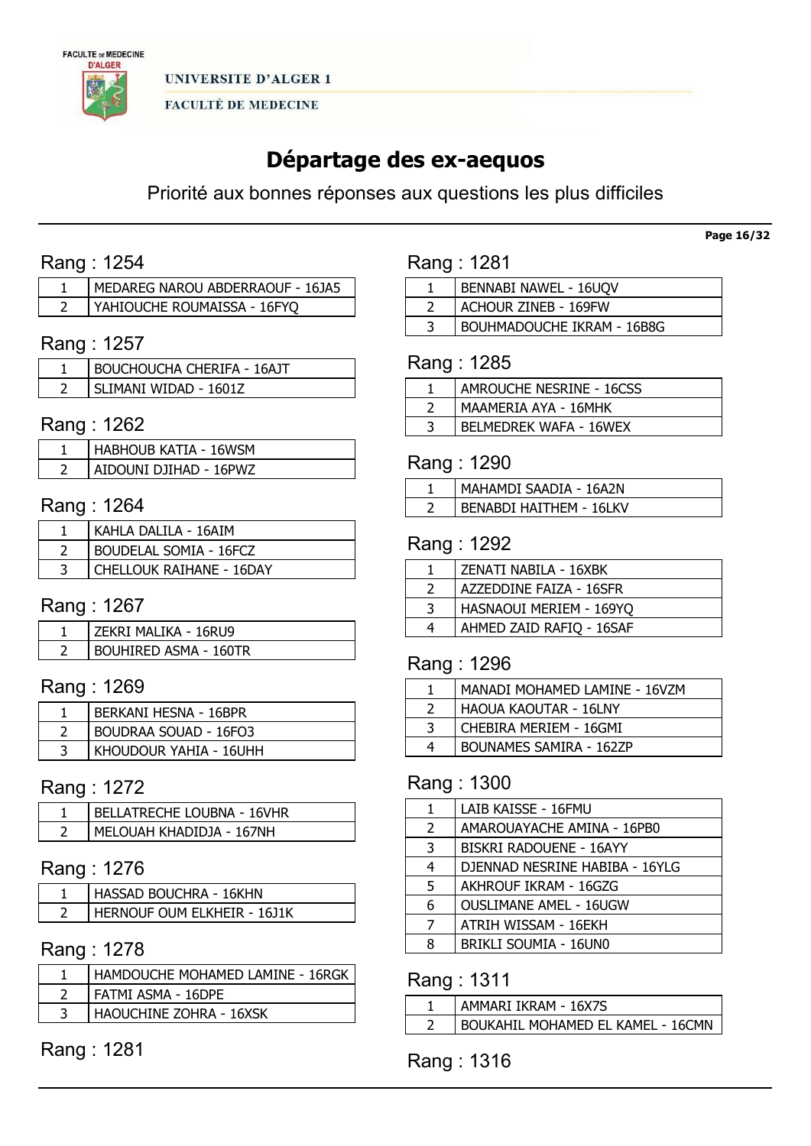

# Départage des ex-aequos

Priorité aux bonnes réponses aux questions les plus difficiles

# Rang : 1254

| MEDAREG NAROU ABDERRAOUF - 16JA5 |
|----------------------------------|
| YAHIOUCHE ROUMAISSA - 16FYO      |

# Rang : 1257

| <b>BOUCHOUCHA CHERIFA - 16AJT</b> |
|-----------------------------------|
| SLIMANI WIDAD - 16017             |

### Rang : 1262

| <b>HABHOUB KATIA - 16WSM</b> |
|------------------------------|
| AIDOUNI DJIHAD - 16PWZ       |

# Rang : 1264

| KAHLA DALILA - 16AIM          |
|-------------------------------|
| <b>BOUDELAL SOMIA - 16FCZ</b> |
| CHELLOUK RAIHANE - 16DAY      |

# Rang : 1267

| ZEKRI MALIKA - 16RU9         |
|------------------------------|
| <b>BOUHIRED ASMA - 160TR</b> |

# Rang : 1269

| <b>BERKANI HESNA - 16BPR</b> |
|------------------------------|
| <b>BOUDRAA SOUAD - 16FO3</b> |
| KHOUDOUR YAHIA - 16UHH       |

### Rang : 1272

| BELLATRECHE LOUBNA - 16VHR |
|----------------------------|
| MELOUAH KHADIDJA - 167NH   |

### Rang : 1276

| HASSAD BOUCHRA - 16KHN      |
|-----------------------------|
| HERNOUF OUM ELKHEIR - 1611K |

### Rang : 1278

| HAMDOUCHE MOHAMED LAMINE - 16RGK |
|----------------------------------|
| FATMI ASMA - 16DPE               |
| HAOUCHINE ZOHRA - 16XSK          |

# Rang : 1281

| Rang: 1281 |  |
|------------|--|
|            |  |

| BENNABI NAWEL - 16UQV             |
|-----------------------------------|
| ACHOUR ZINEB - 169FW              |
| <b>BOUHMADOUCHE IKRAM - 16B8G</b> |
|                                   |

### Rang : 1285

| AMROUCHE NESRINE - 16CSS      |
|-------------------------------|
| MAAMERIA AYA - 16MHK          |
| <b>BELMEDREK WAFA - 16WEX</b> |

### Rang : 1290

| MAHAMDI SAADIA - 16A2N         |
|--------------------------------|
| <b>BENABDI HAITHEM - 16LKV</b> |
|                                |

### Rang : 1292

|   | ZENATI NABILA - 16XBK    |
|---|--------------------------|
|   | AZZEDDINE FAIZA - 16SFR  |
| ₹ | HASNAOUI MERIEM - 169YQ  |
| 4 | AHMED ZAID RAFIQ - 16SAF |

### Rang : 1296

|   | MANADI MOHAMED LAMINE - 16VZM |
|---|-------------------------------|
|   | HAOUA KAOUTAR - 16LNY         |
| 3 | CHEBIRA MERIEM - 16GMI        |
| 4 | BOUNAMES SAMIRA - 162ZP       |

# Rang : 1300

| LAIB KAISSE - 16FMU            |
|--------------------------------|
| AMAROUAYACHE AMINA - 16PB0     |
| <b>BISKRI RADOUENE - 16AYY</b> |
| DJENNAD NESRINE HABIBA - 16YLG |
| AKHROUF IKRAM - 16GZG          |
| <b>OUSLIMANE AMEL - 16UGW</b>  |
| ATRIH WISSAM - 16EKH           |
| BRIKLI SOUMIA - 16UN0          |
|                                |

### Rang : 1311

| AMMARI IKRAM - 16X7S              |
|-----------------------------------|
| BOUKAHIL MOHAMED EL KAMEL - 16CMN |

# Rang : 1316

#### Page 16/32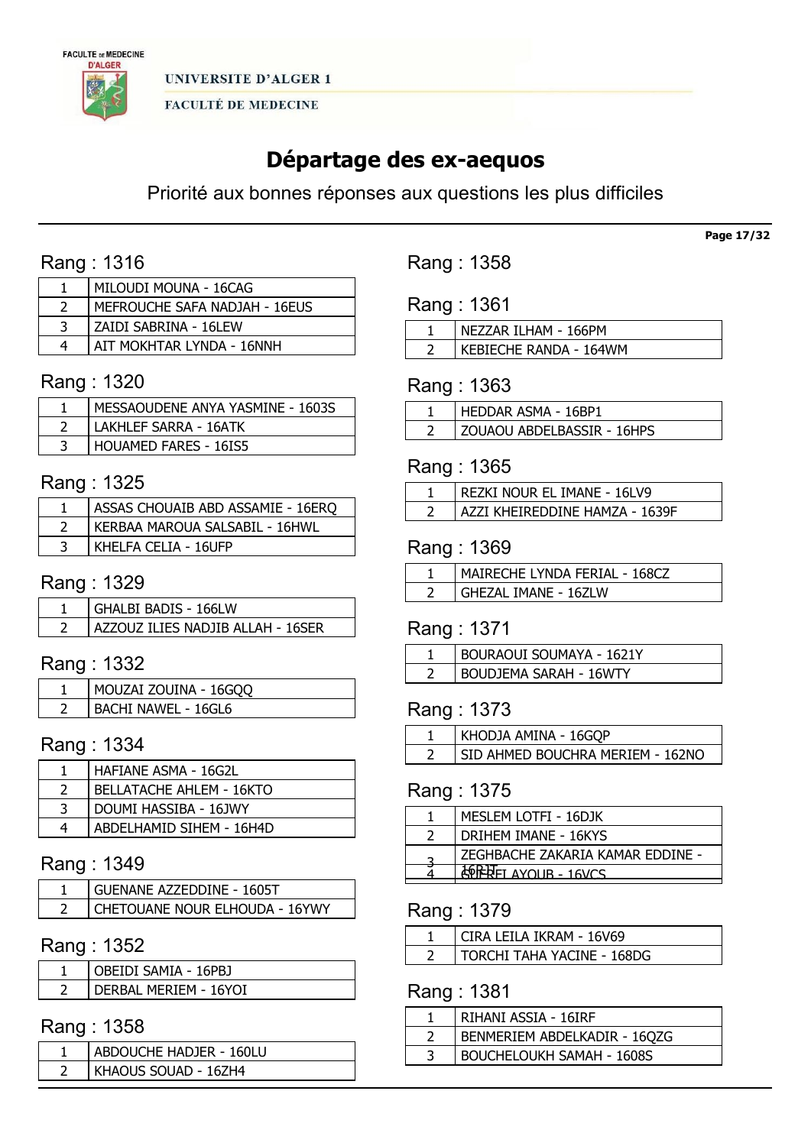

# Départage des ex-aequos

Priorité aux bonnes réponses aux questions les plus difficiles

# Rang : 1316

| MILOUDI MOUNA - 16CAG         |
|-------------------------------|
| MEFROUCHE SAFA NADJAH - 16EUS |
| ZAIDI SABRINA - 16LEW         |
| AIT MOKHTAR LYNDA - 16NNH     |

# Rang : 1320

| MESSAOUDENE ANYA YASMINE - 1603S |
|----------------------------------|
| LAKHLEF SARRA - 16ATK            |
| <b>HOUAMED FARES - 16IS5</b>     |

# Rang : 1325

| ASSAS CHOUAIB ABD ASSAMIE - 16ERQ |
|-----------------------------------|
| KERBAA MAROUA SALSABIL - 16HWL    |
| KHELFA CELIA - 16UFP              |

### Rang : 1329

| GHALBI BADIS - 166LW              |
|-----------------------------------|
| AZZOUZ ILIES NADJIB ALLAH - 16SER |

# Rang : 1332

| MOUZAI ZOUINA - 16GQQ      |
|----------------------------|
| <b>BACHI NAWEL - 16GL6</b> |

# Rang : 1334

| HAFIANE ASMA - 16G2L            |
|---------------------------------|
| <b>BELLATACHE AHLEM - 16KTO</b> |
| DOUMI HASSIBA - 16JWY           |
| ABDELHAMID SIHEM - 16H4D        |

### Rang : 1349

| GUENANE AZZEDDINE - 1605T      |
|--------------------------------|
| CHETOUANE NOUR ELHOUDA - 16YWY |

# Rang : 1352

| JBEIDI SAMIA - 16PBJ  |
|-----------------------|
| DERBAL MERIEM - 16YOI |

### Rang : 1358

| ABDOUCHE HADJER - 160LU |                      |
|-------------------------|----------------------|
|                         |                      |
|                         | KHAOUS SOUAD - 16ZH4 |

Rang : 1358

| Rang: 1361 |  |  |
|------------|--|--|
|------------|--|--|

| NEZZAR ILHAM - 166PM   |
|------------------------|
| KEBIECHE RANDA - 164WM |

### Rang : 1363

| ' HEDDAR ASMA - 16BP1      |
|----------------------------|
| ZOUAOU ABDELBASSIR - 16HPS |

### Rang : 1365

| REZKI NOUR EL IMANE - 16LV9     |
|---------------------------------|
| LAZZI KHEIREDDINE HAMZA - 1639F |

# Rang : 1369

| MAIRECHE LYNDA FERIAL - 168CZ |
|-------------------------------|
| GHEZAL IMANE - 16ZLW          |

### Rang : 1371

| BOURAOUI SOUMAYA - 1621Y |
|--------------------------|
| BOUDJEMA SARAH - 16WTY   |

# Rang : 1373

| KHODJA AMINA - 16GQP             |
|----------------------------------|
| SID AHMED BOUCHRA MERIEM - 162NO |

# Rang : 1375

| MESLEM LOTFI - 16DJK             |
|----------------------------------|
| DRIHEM IMANE - 16KYS             |
| ZEGHBACHE ZAKARIA KAMAR EDDINE - |
| FI AYOUR - 16VCS                 |
|                                  |

### Rang : 1379

| CIRA LEILA IKRAM - 16V69   |
|----------------------------|
| TORCHI TAHA YACINE - 168DG |

# Rang : 1381

| RIHANI ASSIA - 16IRF             |
|----------------------------------|
| BENMERIEM ABDELKADIR - 16QZG     |
| <b>BOUCHELOUKH SAMAH - 1608S</b> |

Page 17/32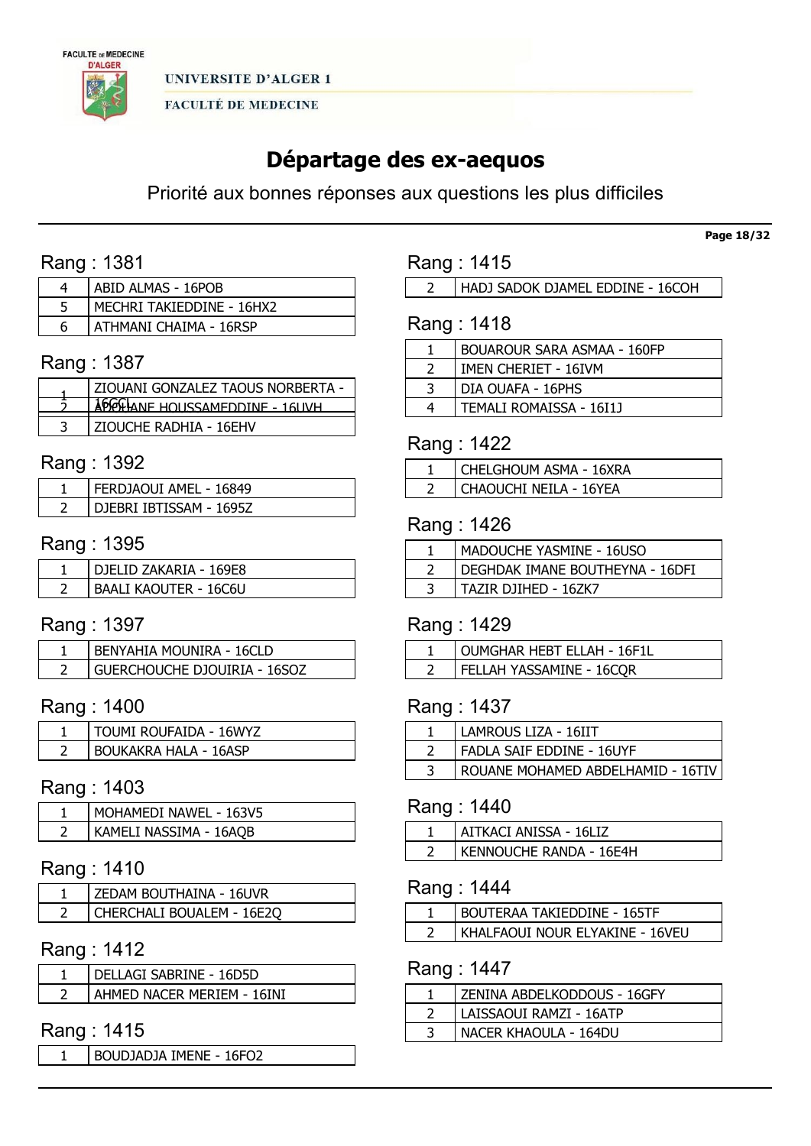

# Départage des ex-aequos

Priorité aux bonnes réponses aux questions les plus difficiles

# Rang : 1381

|   | ABID ALMAS - 16POB        |
|---|---------------------------|
|   | MECHRI TAKIEDDINE - 16HX2 |
| Б | ATHMANI CHAIMA - 16RSP    |

### Rang : 1387

| <b>ZIOUANI GONZALEZ TAOUS NORBERTA -</b> |
|------------------------------------------|
| ADGGHANE HOUSSAMEDDINE - 16UVH           |
| ZIOUCHE RADHIA - 16EHV                   |

### Rang : 1392

| FERDJAOUI AMEL - 16849  |
|-------------------------|
| DIEBRI IBTISSAM - 1695Z |

### Rang : 1395

| DIFI ID ZAKARIA - 169F8      |
|------------------------------|
| <b>BAALI KAOUTER - 16C6U</b> |

### Rang : 1397

| <b>BENYAHIA MOUNIRA - 16CLD</b>     |
|-------------------------------------|
| <b>GUERCHOUCHE DJOUIRIA - 16SOZ</b> |

# Rang : 1400

| TOUMI ROUFAIDA - 16WYZ       |
|------------------------------|
| <b>BOUKAKRA HALA - 16ASP</b> |

### Rang : 1403

| MOHAMEDI NAWEL - 163V5 |
|------------------------|
| KAMELI NASSIMA - 16AQB |

# Rang : 1410

| ZEDAM BOUTHAINA - 16UVR          |
|----------------------------------|
| <b>CHERCHALI BOUALEM - 16E2O</b> |

### Rang : 1412

| DELLAGI SABRINE - 16D5D    |
|----------------------------|
| AHMED NACER MERIEM - 16INI |

# Rang : 1415

BOUDJADJA IMENE - 16FO2

### Rang : 1415

HADJ SADOK DJAMEL EDDINE - 16COH

# Rang : 1418

|   | <b>BOUAROUR SARA ASMAA - 160FP</b> |
|---|------------------------------------|
|   | IMEN CHERIET - 16IVM               |
| 3 | DIA OUAFA - 16PHS                  |
|   | TEMALI ROMAISSA - 16I1J            |
|   |                                    |

### Rang : 1422

| CHELGHOUM ASMA - 16XRA |
|------------------------|
| CHAOUCHI NEILA - 16YEA |

### Rang : 1426

| MADOUCHE YASMINE - 16USO        |
|---------------------------------|
| DEGHDAK IMANE BOUTHEYNA - 16DFI |
| TAZIR DJIHED - 16ZK7            |

# Rang : 1429

| OUMGHAR HEBT ELLAH - 16F1L |
|----------------------------|
| FELLAH YASSAMINE - 16CQR   |

## Rang : 1437

| FADLA SAIF EDDINE - 16UYF         |  |
|-----------------------------------|--|
| ROUANE MOHAMED ABDELHAMID - 16TIV |  |

### Rang : 1440

| AITKACI ANISSA - 16LIZ  |
|-------------------------|
| KENNOUCHE RANDA - 16E4H |

# Rang : 1444

| BOUTERAA TAKIEDDINE - 165TF     |
|---------------------------------|
| KHALFAOUI NOUR ELYAKINE - 16VEU |

# Rang : 1447

| ZENINA ABDELKODDOUS - 16GFY |
|-----------------------------|
| LAISSAOUI RAMZI - 16ATP     |
| NACER KHAOULA - 164DU       |

Page 18/32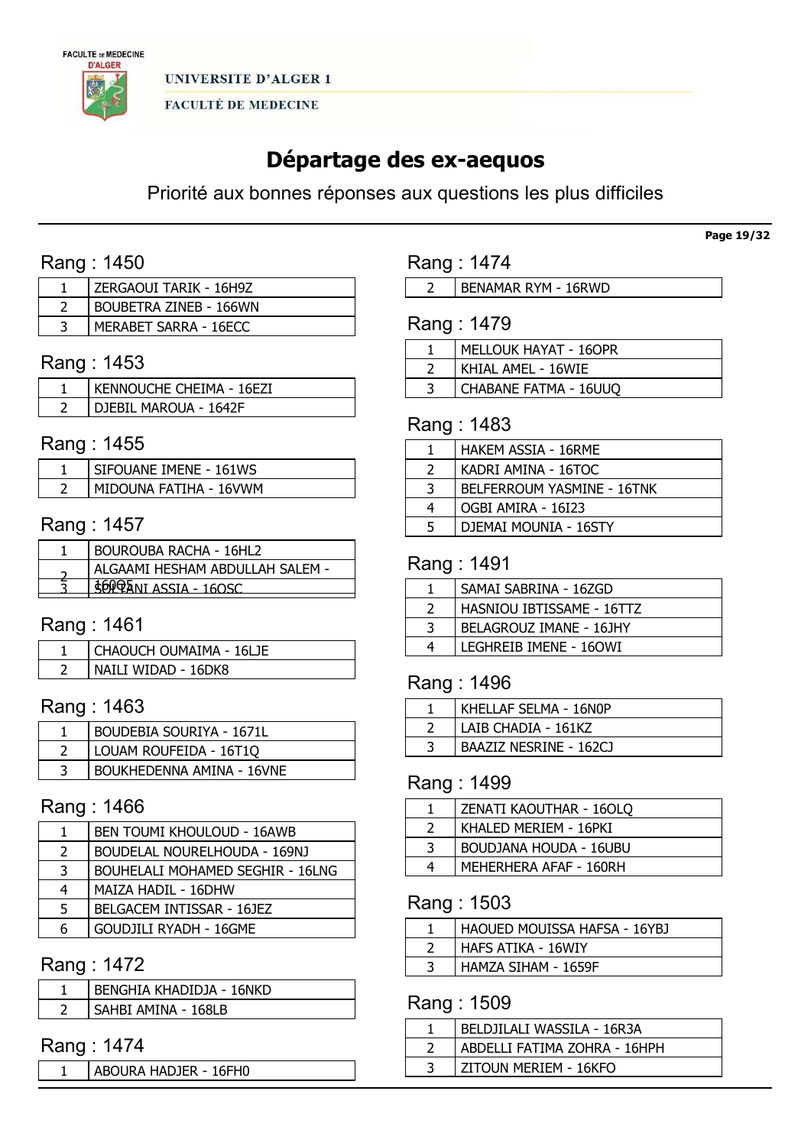

# Départage des ex-aequos

Priorité aux bonnes réponses aux questions les plus difficiles

# Rang : 1450

| ZERGAOUI TARIK - 16H9Z        |
|-------------------------------|
| <b>BOUBETRA ZINEB - 166WN</b> |
| MERABET SARRA - 16ECC         |

# Rang : 1453

| KENNOUCHE CHEIMA - 16EZI |
|--------------------------|
| DIEBIL MAROUA - 1642F    |

# Rang : 1455

| SIFOUANE IMENE - 161WS |
|------------------------|
| MIDOUNA FATIHA - 16VWM |

### Rang : 1457

| <b>BOUROUBA RACHA - 16HL2</b>   |
|---------------------------------|
| ALGAAMI HESHAM ABDULLAH SALEM - |
| <b>EOPPANI ASSIA - 160SC</b>    |
|                                 |

# Rang : 1461

| CHAOUCH OUMAIMA - 16LJE |
|-------------------------|
| NAILI WIDAD - 16DK8     |

## Rang : 1463

| <b>BOUDEBIA SOURIYA - 1671L</b> |
|---------------------------------|
| LOUAM ROUFEIDA - 16T1Q          |
| BOUKHEDENNA AMINA - 16VNE       |

### Rang : 1466

| 1.            | <b>BEN TOUMI KHOULOUD - 16AWB</b>       |
|---------------|-----------------------------------------|
| $\mathcal{L}$ | <b>BOUDELAL NOURELHOUDA - 169NJ</b>     |
| 3             | <b>BOUHELALI MOHAMED SEGHIR - 16LNG</b> |
| 4             | MAIZA HADIL - 16DHW                     |
| 5             | BELGACEM INTISSAR - 16JEZ               |
| 6             | <b>GOUDJILI RYADH - 16GME</b>           |
|               |                                         |

# Rang : 1472

|  | BENGHIA KHADIDJA - 16NKD |
|--|--------------------------|
|  | SAHBI AMINA - 168LB      |

### Rang : 1474

1 | ABOURA HADJER - 16FH0

Rang : 1474

| <b>BENAMAR RYM - 16RWD</b> |  |
|----------------------------|--|
|----------------------------|--|

# Rang : 1479

| MELLOUK HAYAT - 16OPR |
|-----------------------|
| KHIAL AMEL - 16WIE    |
| CHABANE FATMA - 16UUQ |
|                       |

### Rang : 1483

|   | <b>HAKEM ASSIA - 16RME</b> |
|---|----------------------------|
| 2 | KADRI AMINA - 16TOC        |
| 3 | BELFERROUM YASMINE - 16TNK |
| 4 | OGBI AMIRA - 16I23         |
| 5 | DJEMAI MOUNIA - 16STY      |

### Rang : 1491

|   | SAMAI SABRINA - 16ZGD     |
|---|---------------------------|
|   | HASNIOU IBTISSAME - 16TTZ |
| 3 | BELAGROUZ IMANE - 16JHY   |
| 4 | LEGHREIB IMENE - 160WI    |

# Rang : 1496

| KHELLAF SELMA - 16N0P  |
|------------------------|
| LAIB CHADIA - 161KZ    |
| BAAZIZ NESRINE - 162CJ |

# Rang : 1499

|   | ZENATI KAOUTHAR - 16OLQ |
|---|-------------------------|
|   | KHALED MERIEM - 16PKI   |
| 3 | BOUDJANA HOUDA - 16UBU  |
| 4 | MEHERHERA AFAF - 160RH  |

# Rang : 1503

| HAOUED MOUISSA HAFSA - 16YBJ |
|------------------------------|
| HAFS ATIKA - 16WIY           |
| HAMZA SIHAM - 1659F          |

# Rang : 1509

| BELDJILALI WASSILA - 16R3A   |
|------------------------------|
| ABDELLI FATIMA ZOHRA - 16HPH |
| ZITOUN MERIEM - 16KFO        |

#### Page 19/32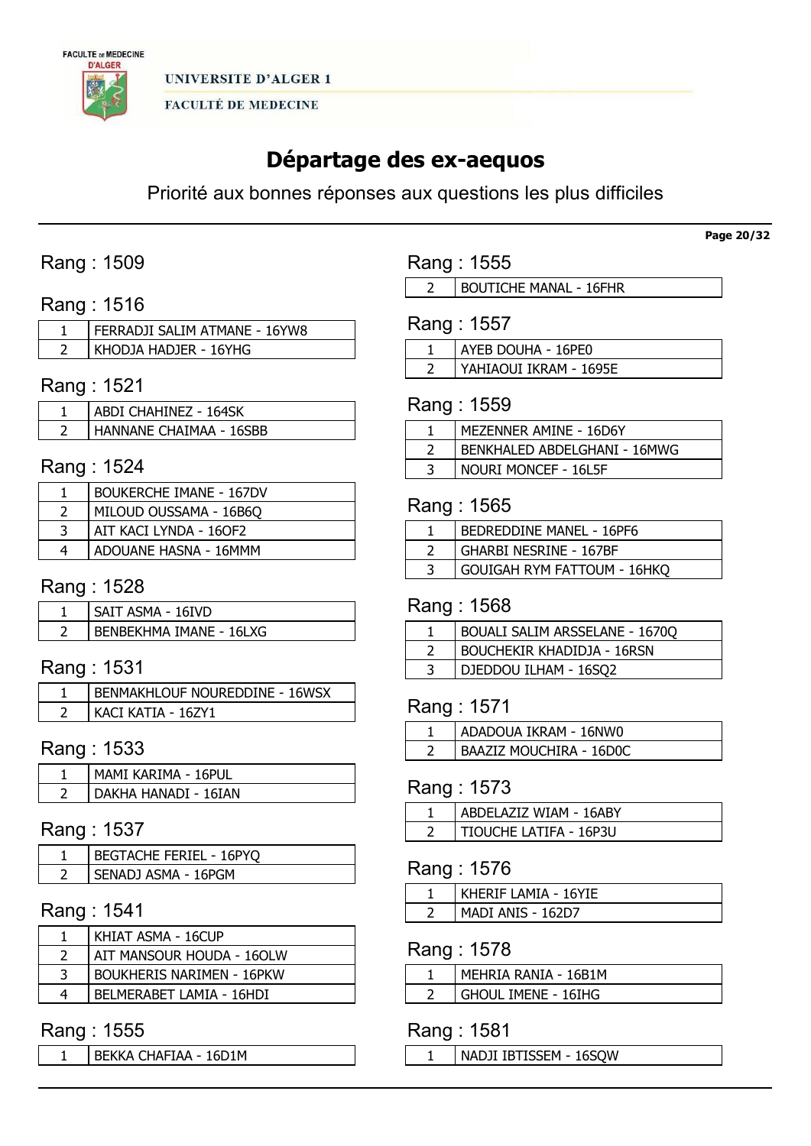

# Départage des ex-aequos

Priorité aux bonnes réponses aux questions les plus difficiles

# Rang : 1509

### Rang : 1516

| FERRADJI SALIM ATMANE - 16YW8 |
|-------------------------------|
| KHODJA HADJER - 16YHG         |

# Rang : 1521

| ABDI CHAHINEZ - 164SK   |
|-------------------------|
| HANNANE CHAIMAA - 16SBB |

### Rang : 1524

|    | BOUKERCHE IMANE - 167DV |
|----|-------------------------|
|    | MILOUD OUSSAMA - 16B6Q  |
| -3 | AIT KACI LYNDA - 160F2  |
| 4  | ADOUANE HASNA - 16MMM   |

### Rang : 1528

| SAIT ASMA - 16IVD       |
|-------------------------|
| BENBEKHMA IMANE - 16LXG |

# Rang : 1531

| ' BENMAKHLOUF NOUREDDINE - 16WSX |
|----------------------------------|
| KACI KATIA - 16ZY1               |

### Rang : 1533

| MAMI KARIMA - 16PUL  |
|----------------------|
| DAKHA HANADI - 16IAN |

### Rang : 1537

| <b>BEGTACHE FERIEL - 16PYO</b> |
|--------------------------------|
| ' SENADJ ASMA - 16PGM          |

# Rang : 1541

|   | KHIAT ASMA - 16CUP               |
|---|----------------------------------|
|   | AIT MANSOUR HOUDA - 16OLW        |
|   | <b>BOUKHERIS NARIMEN - 16PKW</b> |
| 4 | BELMERABET LAMIA - 16HDI         |
|   |                                  |

### Rang : 1555

BEKKA CHAFIAA - 16D1M

Rang : 1555

2 | BOUTICHE MANAL - 16FHR

| Rang : 1557 |  |  |
|-------------|--|--|
|-------------|--|--|

| l AYEB DOUHA - 16PE0   |
|------------------------|
| YAHIAOUI IKRAM - 1695E |

### Rang : 1559

| MEZENNER AMINE - 16D6Y       |
|------------------------------|
| BENKHALED ABDELGHANI - 16MWG |
| NOURI MONCEF - 16L5F         |

### Rang : 1565

| BEDREDDINE MANEL - 16PF6      |
|-------------------------------|
| <b>GHARBI NESRINE - 167BF</b> |
| GOUIGAH RYM FATTOUM - 16HKQ   |

# Rang : 1568

| BOUALI SALIM ARSSELANE - 1670Q    |
|-----------------------------------|
| <b>BOUCHEKIR KHADIDJA - 16RSN</b> |
| DJEDDOU ILHAM - 16SQ2             |

### Rang : 1571

| ADADOUA IKRAM - 16NW0          |
|--------------------------------|
| <b>BAAZIZ MOUCHIRA - 16D0C</b> |

### Rang : 1573

| ABDELAZIZ WIAM - 16ABY |
|------------------------|
| TIOUCHE LATIFA - 16P3U |

### Rang : 1576

| KHERIF LAMIA - 16YIE |
|----------------------|
| MADI ANIS - 162D7    |

### Rang : 1578

| MEHRIA RANIA - 16B1M  |
|-----------------------|
| i Ghoul Tmene - 16thg |

### Rang : 1581

NADJI IBTISSEM - 16SQW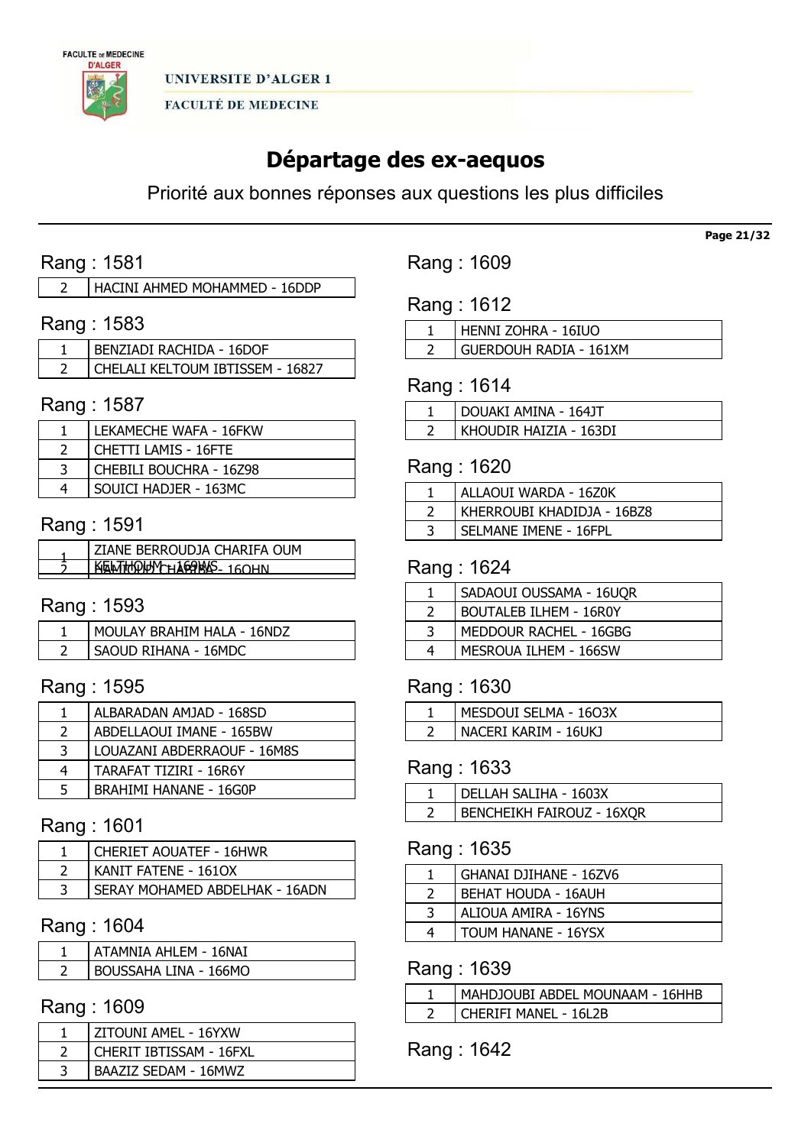

# Départage des ex-aequos

Priorité aux bonnes réponses aux questions les plus difficiles

# Rang : 1581

HACINI AHMED MOHAMMED - 16DDP

# Rang : 1583

| I BENZIADI RACHIDA - 16DOF       |
|----------------------------------|
| CHELALI KELTOUM IBTISSEM - 16827 |

### Rang : 1587

| LEKAMECHE WAFA - 16FKW      |
|-----------------------------|
| <b>CHETTI LAMIS - 16FTE</b> |
| CHEBILI BOUCHRA - 16Z98     |
| SOUICI HADJER - 163MC       |

# Rang : 1591

| KELTHOUN-U169MS 160UN |  |
|-----------------------|--|

# Rang : 1593

| MOULAY BRAHIM HALA - 16NDZ |
|----------------------------|
| SAOUD RIHANA - 16MDC       |

### Rang : 1595

|               | ALBARADAN AMJAD - 168SD       |
|---------------|-------------------------------|
| $\mathcal{L}$ | ABDELLAOUI IMANE - 165BW      |
| 3             | LOUAZANI ABDERRAOUF - 16M8S   |
| 4             | TARAFAT TIZIRI - 16R6Y        |
| 5             | <b>BRAHIMI HANANE - 16G0P</b> |

### Rang : 1601

| <b>CHERIET AOUATEF - 16HWR</b> |
|--------------------------------|
| KANIT FATENE - 1610X           |
| SERAY MOHAMED ABDELHAK - 16ADN |

### Rang : 1604

| ATAMNIA AHLEM - 16NAI        |
|------------------------------|
| <b>BOUSSAHA LINA - 166MO</b> |

# Rang : 1609

| ZITOUNI AMEL - 16YXW    |
|-------------------------|
| CHERIT IBTISSAM - 16FXL |
| BAAZIZ SEDAM - 16MWZ    |

Rang : 1609

Rang : 1612

| HENNI ZOHRA - 16IUO           |
|-------------------------------|
| <b>GUERDOUH RADIA - 161XM</b> |

# Rang : 1614

| DOUAKI AMINA - 164JT   |
|------------------------|
| KHOUDIR HAIZIA - 163DI |

### Rang : 1620

| ALLAOUI WARDA - 16Z0K      |
|----------------------------|
| KHERROUBI KHADIDJA - 16BZ8 |
| SELMANE IMENE - 16FPL      |

### Rang : 1624

|   | SADAOUI OUSSAMA - 16UQR       |
|---|-------------------------------|
|   | <b>BOUTALEB ILHEM - 16R0Y</b> |
| 3 | MEDDOUR RACHEL - 16GBG        |
| 4 | MESROUA ILHEM - 166SW         |

### Rang : 1630

| MESDOUI SELMA - 1603X |
|-----------------------|
| NACERI KARIM - 16UKI  |

# Rang : 1633

| l DELLAH SALIHA - 1603X          |
|----------------------------------|
| <b>BENCHEIKH FAIROUZ - 16XQR</b> |

# Rang : 1635

|   | GHANAI DJIHANE - 16ZV6     |
|---|----------------------------|
|   | <b>BEHAT HOUDA - 16AUH</b> |
|   | ALIOUA AMIRA - 16YNS       |
| 4 | TOUM HANANE - 16YSX        |

# Rang : 1639

| MAHDJOUBI ABDEL MOUNAAM - 16HHB |
|---------------------------------|
| CHERIFI MANEL - 16L2B           |

Rang : 1642

Page 21/32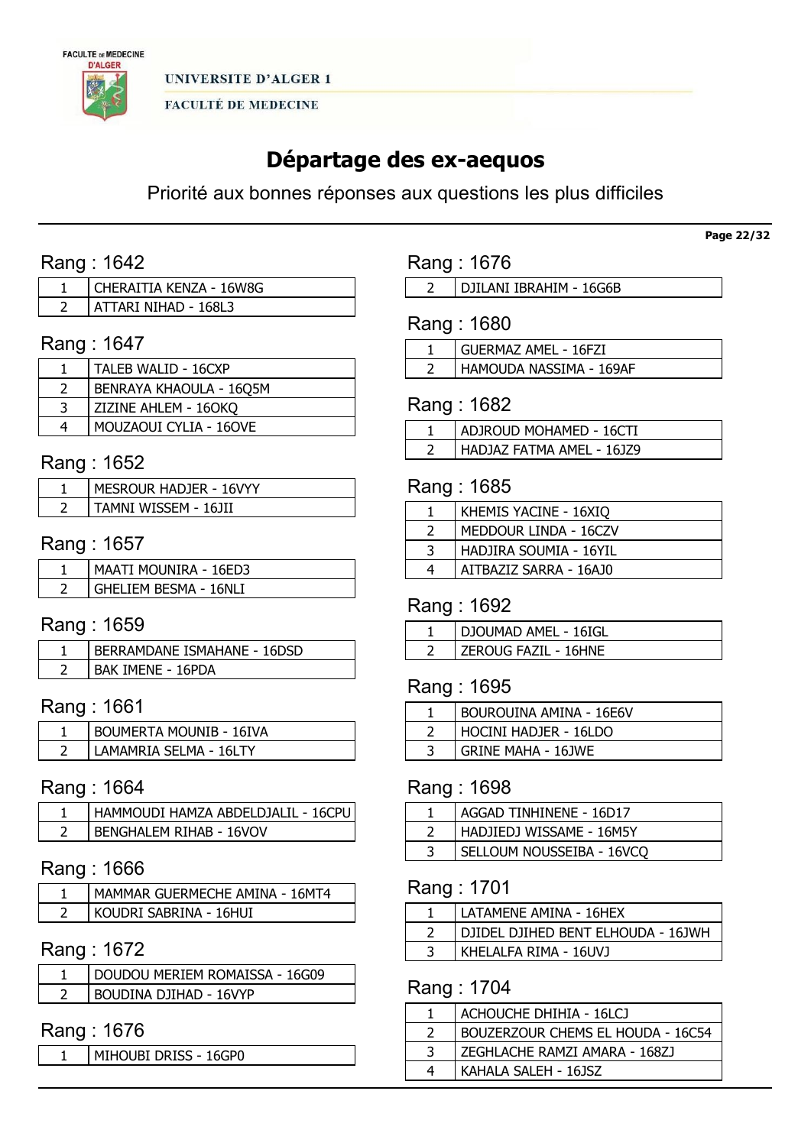

# Départage des ex-aequos

Priorité aux bonnes réponses aux questions les plus difficiles

# Rang : 1642

| CHERAITIA KENZA - 16W8G |
|-------------------------|
| ATTARI NIHAD - 168L3    |

### Rang : 1647

| TALEB WALID - 16CXP           |
|-------------------------------|
| BENRAYA KHAOULA - 16Q5M       |
| ZIZINE AHLEM - 16OKQ          |
| <b>MOUZAOUI CYLIA - 16OVE</b> |

### Rang : 1652

| MESROUR HADJER - 16VYY |
|------------------------|
| TAMNI WISSFM - 161II   |

### Rang : 1657

| <b>MAATI MOUNIRA - 16ED3</b> |
|------------------------------|
| <b>GHELIEM BESMA - 16NLI</b> |

# Rang : 1659

| BERRAMDANE ISMAHANE - 16DSD |
|-----------------------------|
| <b>BAK IMENE - 16PDA</b>    |

# Rang : 1661

| <b>BOUMERTA MOUNIB - 16IVA</b> |
|--------------------------------|
| _AMAMRIA SELMA - 16LTY         |

### Rang : 1664

| HAMMOUDI HAMZA ABDELDJALIL - 16CPU |
|------------------------------------|
| <b>BENGHALEM RIHAB - 16VOV</b>     |

### Rang : 1666

| MAMMAR GUERMECHE AMINA - 16MT4 |
|--------------------------------|
| Koudri Sabrina - 16Hui         |

# Rang : 1672

| <sup>1</sup> DOUDOU MERIEM ROMAISSA - 16G09 |
|---------------------------------------------|
| BOUDINA DJIHAD - 16VYP                      |

# Rang : 1676

MIHOUBI DRISS - 16GP0

Rang : 1676

DJILANI IBRAHIM - 16G6B

Rang : 1680

| GUERMAZ AMEL - 16FZI    |
|-------------------------|
| HAMOUDA NASSIMA - 169AF |

### Rang : 1682

| ADJROUD MOHAMED - 16CTI   |
|---------------------------|
| HADJAZ FATMA AMEL - 16JZ9 |

### Rang : 1685

| KHEMIS YACINE - 16XIO  |
|------------------------|
| MEDDOUR LINDA - 16CZV  |
| HADJIRA SOUMIA - 16YIL |
| AITBAZIZ SARRA - 16AJ0 |

# Rang : 1692

| DJOUMAD AMEL - 16IGL |
|----------------------|
| ZEROUG FAZIL - 16HNE |

# Rang : 1695

| BOUROUINA AMINA - 16E6V   |
|---------------------------|
| HOCINI HADJER - 16LDO     |
| <b>GRINE MAHA - 16JWE</b> |

### Rang : 1698

| AGGAD TINHINENE - 16D17   |
|---------------------------|
| HADJIEDJ WISSAME - 16M5Y  |
| SELLOUM NOUSSEIBA - 16VCO |

# Rang : 1701

| LATAMENE AMINA - 16HEX             |
|------------------------------------|
| DJIDEL DJIHED BENT ELHOUDA - 16JWH |
| KHELALFA RIMA - 16UVJ              |

### Rang : 1704

|   | ACHOUCHE DHIHIA - 16LCJ           |
|---|-----------------------------------|
|   | BOUZERZOUR CHEMS EL HOUDA - 16C54 |
|   | ZEGHLACHE RAMZI AMARA - 168ZJ     |
| 4 | KAHALA SALEH - 16JSZ              |

Page 22/32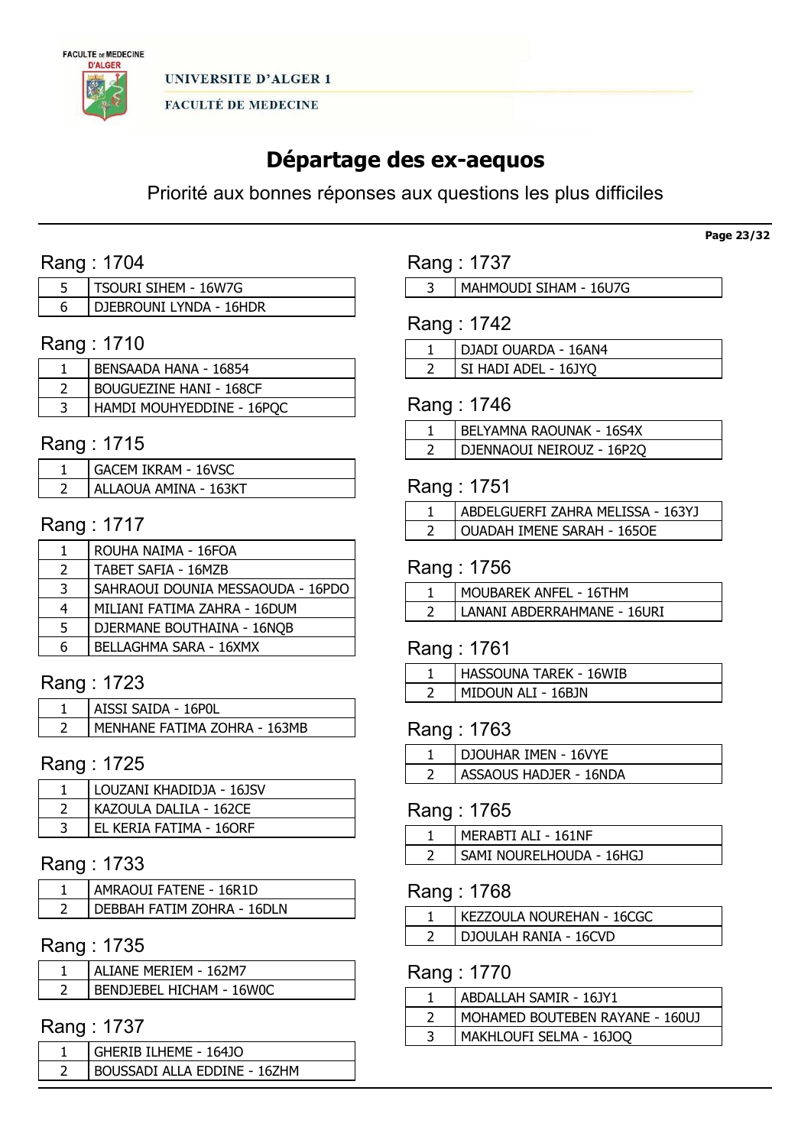

# Départage des ex-aequos

Priorité aux bonnes réponses aux questions les plus difficiles

# Rang : 1704

| tsourt sthem - 16W7G    |
|-------------------------|
| DIEBROUNI LYNDA - 16HDR |

# Rang : 1710

| BENSAADA HANA - 16854          |
|--------------------------------|
| <b>BOUGUEZINE HANI - 168CF</b> |
| HAMDI MOUHYEDDINE - 16POC      |

# Rang : 1715

| <b>GACEM IKRAM - 16VSC</b> |
|----------------------------|
| ALLAOUA AMINA - 163KT      |

### Rang : 1717

|               | ROUHA NAIMA - 16FOA               |
|---------------|-----------------------------------|
| $\mathcal{L}$ | TABET SAFIA - 16MZB               |
| 3             | SAHRAOUI DOUNIA MESSAOUDA - 16PDO |
| 4             | MILIANI FATIMA ZAHRA - 16DUM      |
| 5             | DJERMANE BOUTHAINA - 16NOB        |
| 6             | BELLAGHMA SARA - 16XMX            |

# Rang : 1723

| AISSI SAIDA - 16POL          |
|------------------------------|
| MENHANE FATIMA ZOHRA - 163MB |

#### Rang : 1725

| LOUZANI KHADIDJA - 16JSV |
|--------------------------|
| KAZOULA DALILA - 162CE   |
| EL KERIA FATIMA - 16ORF  |

# Rang : 1733

| ' AMRAOUI FATENE - 16R1D   |
|----------------------------|
| DEBBAH FATIM ZOHRA - 16DLN |

# Rang : 1735

| ALTANE MERTEM - 162M7    |
|--------------------------|
| BENDJEBEL HICHAM - 16W0C |

### Rang : 1737

| GHERIB ILHEME - 164JO        |
|------------------------------|
| BOUSSADI ALLA EDDINE - 16ZHM |
|                              |

# Rang : 1737

MAHMOUDI SIHAM - 16U7G

# Rang : 1742

| DJADI OUARDA - 16AN4 |
|----------------------|
| SI HADI ADEL - 16JYO |

### Rang : 1746

| BELYAMNA RAOUNAK - 16S4X  |
|---------------------------|
| DJENNAOUI NEIROUZ - 16P20 |

# Rang : 1751

| ABDELGUERFI ZAHRA MELISSA - 163YJ |
|-----------------------------------|
| OUADAH IMENE SARAH - 1650E        |

### Rang : 1756

| MOUBAREK ANFEL - 16THM      |
|-----------------------------|
| LANANI ABDERRAHMANE - 16URI |

### Rang : 1761

|   | <b>HASSOUNA TAREK - 16WIB</b> |
|---|-------------------------------|
| ∼ | MIDOUN ALI - 16BJN            |

### Rang : 1763

| DJOUHAR IMEN - 16VYE   |
|------------------------|
| ASSAOUS HADJER - 16NDA |

### Rang : 1765

| ' MERABTI ALI - 161NF    |
|--------------------------|
| SAMI NOURELHOUDA - 16HGJ |

### Rang : 1768

| KEZZOULA NOUREHAN - 16CGC |
|---------------------------|
| DJOULAH RANIA - 16CVD     |

### Rang : 1770

| ABDALLAH SAMIR - 16JY1          |
|---------------------------------|
| MOHAMED BOUTEBEN RAYANE - 160UJ |
| MAKHLOUFI SELMA - 16JOQ         |

#### Page 23/32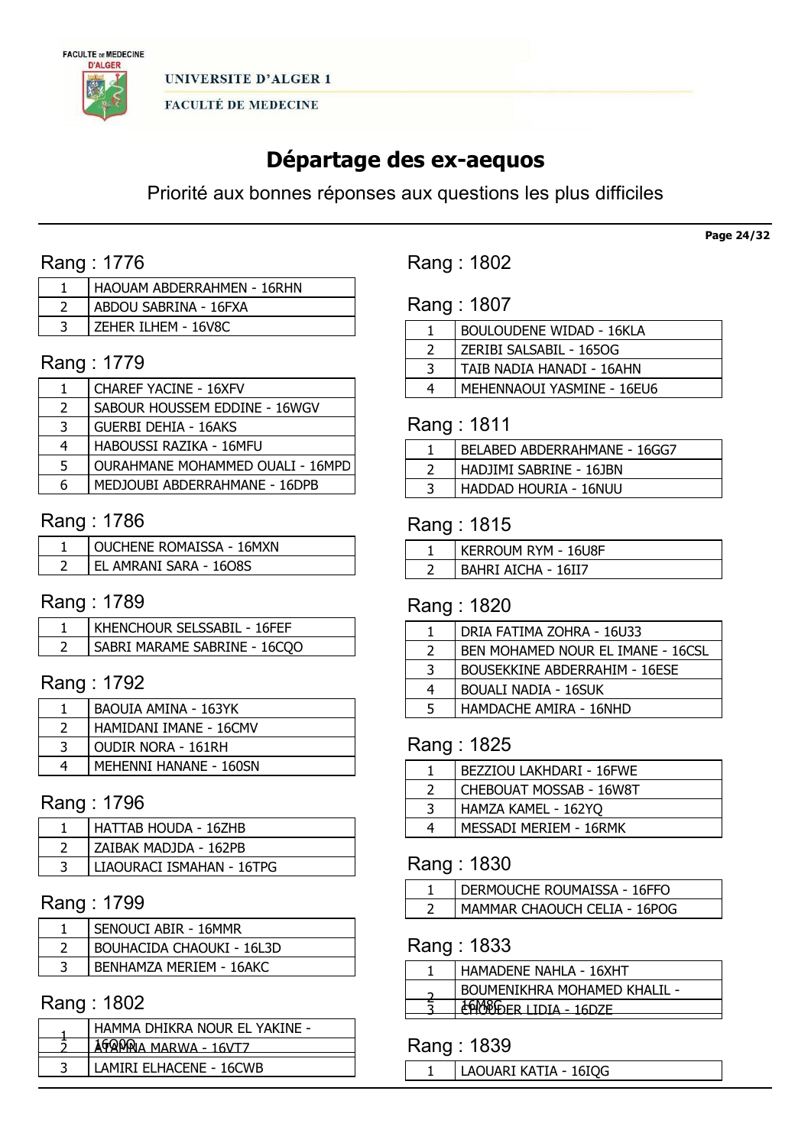

# Départage des ex-aequos

Priorité aux bonnes réponses aux questions les plus difficiles

# Rang : 1776

| HAOUAM ABDERRAHMEN - 16RHN |
|----------------------------|
| ABDOU SABRINA - 16FXA      |
| ZEHER ILHEM - 16V8C        |

# Rang : 1779

|               | <b>CHAREF YACINE - 16XFV</b>     |
|---------------|----------------------------------|
| $\mathcal{P}$ | SABOUR HOUSSEM EDDINE - 16WGV    |
| 3             | <b>GUERBI DEHIA - 16AKS</b>      |
| 4             | HABOUSSI RAZIKA - 16MFU          |
| 5             | OURAHMANE MOHAMMED OUALI - 16MPD |
| 6             | MEDJOUBI ABDERRAHMANE - 16DPB    |

### Rang : 1786

| OUCHENE ROMAISSA - 16MXN |
|--------------------------|
| EL AMRANI SARA - 1608S   |

### Rang : 1789

| KHENCHOUR SELSSABIL - 16FEF  |
|------------------------------|
| SABRI MARAME SABRINE - 16COO |

# Rang : 1792

|   | <b>BAOUIA AMINA - 163YK</b> |
|---|-----------------------------|
|   | HAMIDANI IMANE - 16CMV      |
|   | <b>OUDIR NORA - 161RH</b>   |
| 4 | MEHENNI HANANE - 160SN      |

### Rang : 1796

| HATTAB HOUDA - 16ZHB      |
|---------------------------|
| ZAIBAK MADJDA - 162PB     |
| LIAOURACI ISMAHAN - 16TPG |

# Rang : 1799

| SENOUCI ABIR - 16MMR             |
|----------------------------------|
| <b>BOUHACIDA CHAOUKI - 16L3D</b> |
| <b>BENHAMZA MERIEM - 16AKC</b>   |

### Rang : 1802

| HAMMA DHIKRA NOUR EL YAKINE - |  |
|-------------------------------|--|
| 16QQQQ MARWA - 16VTZ          |  |
|                               |  |
| LAMIRI ELHACENE - 16CWB       |  |

Rang : 1802

# Rang : 1807

|   | <b>BOULOUDENE WIDAD - 16KLA</b> |
|---|---------------------------------|
|   | ZERIBI SALSABIL - 165OG         |
| 3 | TAIB NADIA HANADI - 16AHN       |
|   | MEHENNAOUI YASMINE - 16EU6      |
|   |                                 |

### Rang : 1811

| <b>BELABED ABDERRAHMANE - 16GG7</b> |
|-------------------------------------|
| I HADJIMI SABRINE - 16JBN           |
| HADDAD HOURIA - 16NUU               |

### Rang : 1815

| KERROUM RYM - 16U8F |
|---------------------|
| BAHRI AICHA - 16II7 |

# Rang : 1820

|               | DRIA FATIMA ZOHRA - 16U33            |
|---------------|--------------------------------------|
| $\mathcal{L}$ | BEN MOHAMED NOUR EL IMANE - 16CSL    |
| 3             | <b>BOUSEKKINE ABDERRAHIM - 16ESE</b> |
| 4             | BOUALI NADIA - 16SUK                 |
| 5             | HAMDACHE AMIRA - 16NHD               |
|               |                                      |

# Rang : 1825

| CHEBOUAT MOSSAB - 16W8T<br>HAMZA KAMEL - 162YQ<br>3<br>MESSADI MERIEM - 16RMK<br>4 | BEZZIOU LAKHDARI - 16FWE |
|------------------------------------------------------------------------------------|--------------------------|
|                                                                                    |                          |
|                                                                                    |                          |
|                                                                                    |                          |

### Rang : 1830

| <sup>1</sup> DERMOUCHE ROUMAISSA - 16FFO |
|------------------------------------------|
| MAMMAR CHAOUCH CELIA - 16POG             |

### Rang : 1833

| HAMADENE NAHLA - 16XHT       |
|------------------------------|
| BOUMENIKHRA MOHAMED KHALIL - |
| 1WONDER ITNT∆ - 16N7E        |
|                              |

### Rang : 1839

LAOUARI KATIA - 16IQG

Page 24/32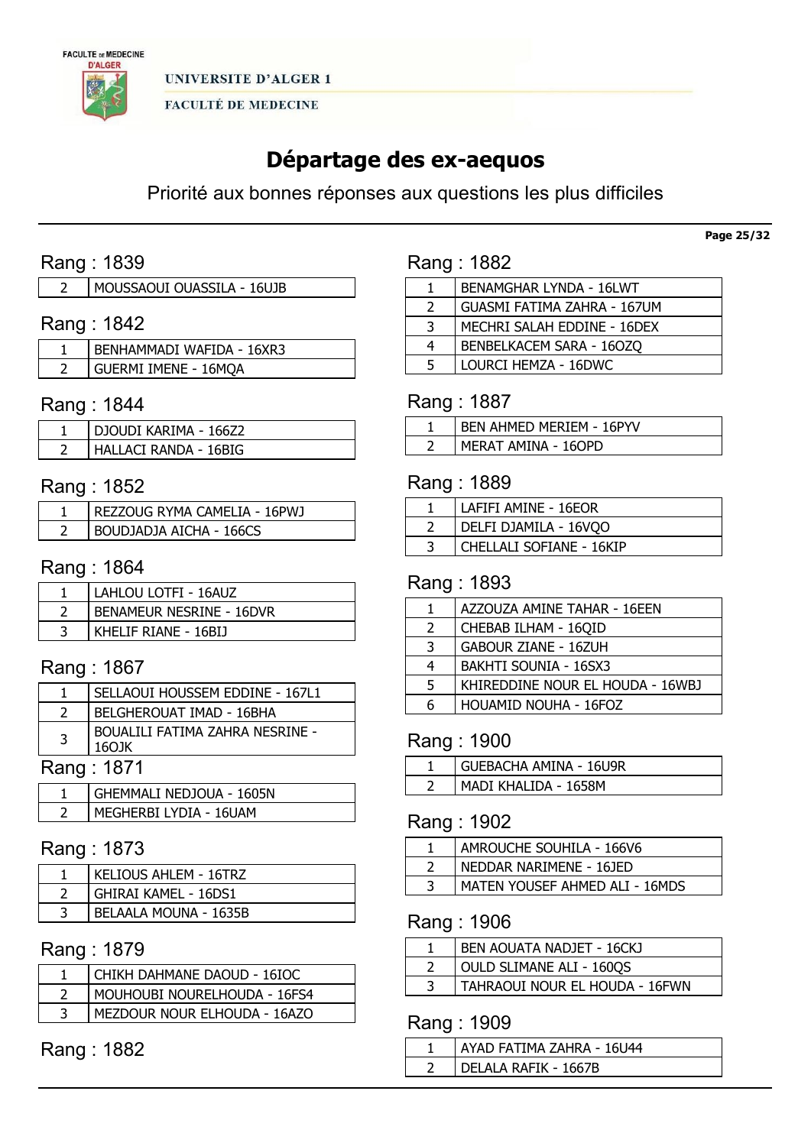

# Départage des ex-aequos

Priorité aux bonnes réponses aux questions les plus difficiles

# Rang : 1839

| MOUSSAOUI OUASSILA - 16UJB |  |
|----------------------------|--|
|                            |  |

# Rang : 1842

| BENHAMMADI WAFIDA - 16XR3 |
|---------------------------|
| GUERMI IMENE - 16MQA      |

### Rang : 1844

| DJOUDI KARIMA - 166Z2 |
|-----------------------|
| HALLACI RANDA - 16BIG |

# Rang : 1852

| REZZOUG RYMA CAMELIA - 16PWJ |
|------------------------------|
| BOUDJADJA AICHA - 166CS      |

### Rang : 1864

| LAHLOU LOTFI - 16AUZ            |
|---------------------------------|
| <b>BENAMEUR NESRINE - 16DVR</b> |
| KHELIF RIANE - 16BIJ            |

# Rang : 1867

|                | SELLAOUI HOUSSEM EDDINE - 167L1                  |
|----------------|--------------------------------------------------|
|                | <b>BELGHEROUAT IMAD - 16BHA</b>                  |
| $\overline{3}$ | <b>BOUALILI FATIMA ZAHRA NESRINE -</b><br>160 JK |
|                | Rang: 1871                                       |

| GHEMMALI NEDJOUA - 1605N |
|--------------------------|
| MEGHERBI LYDIA - 16UAM   |

# Rang : 1873

| KELIOUS AHLEM - 16TRZ |
|-----------------------|
| GHIRAI KAMEL - 16DS1  |
| BELAALA MOUNA - 1635B |

# Rang : 1879

| CHIKH DAHMANE DAOUD - 16IOC  |
|------------------------------|
| MOUHOUBI NOURELHOUDA - 16FS4 |
| MEZDOUR NOUR ELHOUDA - 16AZO |

# Rang : 1882

| Rang: 1882 |  |  |
|------------|--|--|
|            |  |  |
|            |  |  |

|               | <b>BENAMGHAR LYNDA - 16LWT</b> |
|---------------|--------------------------------|
| $\mathcal{L}$ | GUASMI FATIMA ZAHRA - 167UM    |
| 3             | MECHRI SALAH EDDINE - 16DEX    |
| 4             | BENBELKACEM SARA - 160ZQ       |
| 5             | LOURCI HEMZA - 16DWC           |
|               |                                |

# Rang : 1887

| BEN AHMED MERIEM - 16PYV |
|--------------------------|
| MERAT AMINA - 160PD      |

### Rang : 1889

| LAFIFI AMINE - 16EOR     |
|--------------------------|
| DELFI DJAMILA - 16VQO    |
| CHELLALI SOFIANE - 16KIP |

### Rang : 1893

|               | AZZOUZA AMINE TAHAR - 16EEN      |
|---------------|----------------------------------|
| $\mathcal{P}$ | CHEBAB ILHAM - 16QID             |
| 3             | <b>GABOUR ZIANE - 16ZUH</b>      |
| 4             | <b>BAKHTI SOUNIA - 16SX3</b>     |
| 5             | KHIREDDINE NOUR EL HOUDA - 16WBJ |
| 6             | HOUAMID NOUHA - 16FOZ            |

### Rang : 1900

| GUEBACHA AMINA - 16U9R |
|------------------------|
| MADI KHALIDA - 1658M   |

# Rang : 1902

| AMROUCHE SOUHILA - 166V6       |
|--------------------------------|
| NEDDAR NARIMENE - 16JED        |
| MATEN YOUSEF AHMED ALI - 16MDS |
|                                |

### Rang : 1906

| BEN AOUATA NADJET - 16CKJ      |
|--------------------------------|
| OULD SLIMANE ALI - 1600S       |
| TAHRAOUI NOUR EL HOUDA - 16FWN |
|                                |

### Rang : 1909

| AYAD FATIMA ZAHRA - 16U44 |  |
|---------------------------|--|
| DELALA RAFIK - 1667B      |  |

#### Page 25/32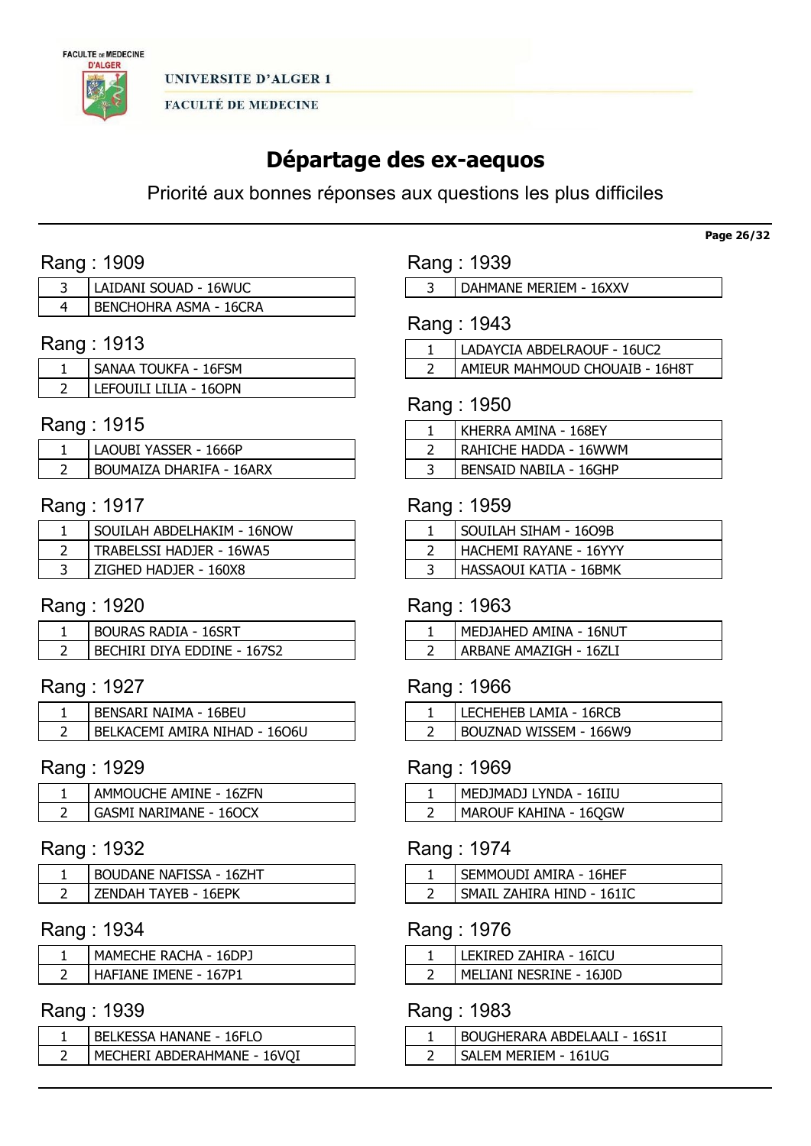

# Départage des ex-aequos

Priorité aux bonnes réponses aux questions les plus difficiles

# Rang : 1909

| LAIDANI SOUAD - 16WUC         |
|-------------------------------|
| <b>BENCHOHRA ASMA - 16CRA</b> |

# Rang : 1913

| SANAA TOUKFA - 16FSM   |
|------------------------|
| LEFOUILI LILIA - 160PN |

### Rang : 1915

| LAOUBI YASSER - 1666P    |
|--------------------------|
| BOUMAIZA DHARIFA - 16ARX |

# Rang : 1917

| SOUILAH ABDELHAKIM - 16NOW |
|----------------------------|
| TRABELSSI HADJER - 16WA5   |
| ZIGHED HADJER - 160X8      |

# Rang : 1920

| <b>BOURAS RADIA - 16SRT</b>        |
|------------------------------------|
| <b>BECHIRI DIYA EDDINE - 167S2</b> |

# Rang : 1927

| BENSARI NAIMA - 16BEU         |
|-------------------------------|
| BELKACEMI AMIRA NIHAD - 1606U |

# Rang : 1929

| AMMOUCHE AMINE - 16ZFN |
|------------------------|
| GASMI NARIMANE - 160CX |

### Rang : 1932

| BOUDANE NAFISSA - 16ZHT |
|-------------------------|
| 7FNDAH TAYFR - 16FPK    |

### Rang : 1934

| MAMECHE RACHA - 16DPJ |
|-----------------------|
| HAFIANE IMENE - 167P1 |

### Rang : 1939

| <b>BELKESSA HANANE - 16FLO</b> |
|--------------------------------|
| MECHERI ABDERAHMANE - 16VOI    |

Rang : 1939

| DAHMANE MERIEM - 16XXV |  |
|------------------------|--|
|------------------------|--|

# Rang : 1943

| LADAYCIA ABDELRAOUF - 16UC2    |
|--------------------------------|
| AMIEUR MAHMOUD CHOUAIB - 16H8T |

### Rang : 1950

| KHERRA AMINA - 168EY   |
|------------------------|
| RAHICHE HADDA - 16WWM  |
| BENSAID NABILA - 16GHP |

### Rang : 1959

| SOUILAH SIHAM - 1609B  |
|------------------------|
| HACHEMI RAYANE - 16YYY |
| HASSAOUI KATIA - 16BMK |

# Rang : 1963

| MEDJAHED AMINA - 16NUT |
|------------------------|
| ARBANE AMAZIGH - 16ZLI |

# Rang : 1966

| LECHEHEB LAMIA - 16RCB |
|------------------------|
| BOUZNAD WISSEM - 166W9 |

# Rang : 1969

| MEDJMADJ LYNDA - 16IIU         |
|--------------------------------|
| <b>I MAROUF KAHINA - 16QGW</b> |

# Rang : 1974

| SEMMOUDI AMIRA - 16HEF    |
|---------------------------|
| SMAIL ZAHIRA HIND - 161IC |

### Rang : 1976

| _EKIRED ZAHIRA - 16ICU   |
|--------------------------|
| MFI JANI NESRINE - 1610D |

# Rang : 1983

| BOUGHERARA ABDELAALI - 16S1I |
|------------------------------|
| SAI FM MFRIFM - 161UG        |

Page 26/32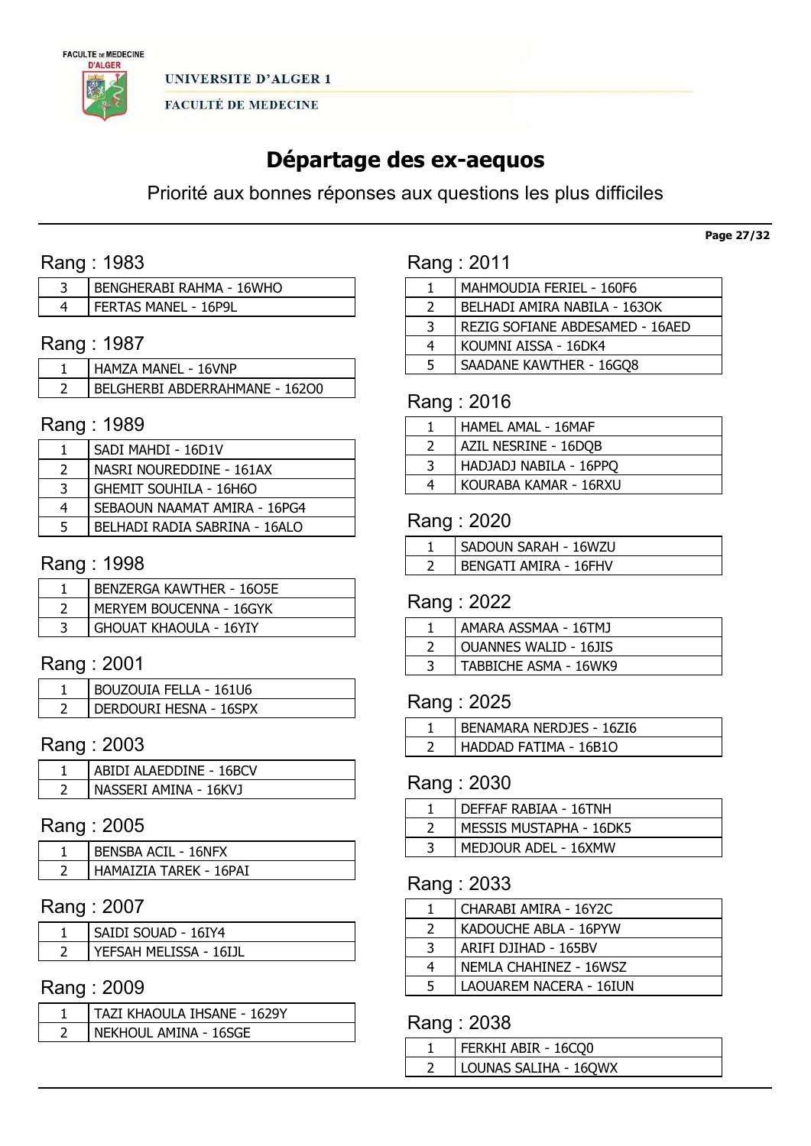

# Départage des ex-aequos

Priorité aux bonnes réponses aux questions les plus difficiles

# Rang : 1983

| BENGHERABI RAHMA - 16WHO |
|--------------------------|
| FERTAS MANEL - 16P9L     |

# Rang : 1987

| . HAMZA MANEL - 16VNP          |
|--------------------------------|
| BELGHERBI ABDERRAHMANE - 16200 |

### Rang : 1989

|   | SADI MAHDI - 16D1V            |
|---|-------------------------------|
|   | NASRI NOUREDDINE - 161AX      |
| 3 | <b>GHEMIT SOUHILA - 16H6O</b> |
| 4 | SEBAOUN NAAMAT AMIRA - 16PG4  |
|   | BELHADI RADIA SABRINA - 16ALO |

# Rang : 1998

| <b>BENZERGA KAWTHER - 16O5E</b> |
|---------------------------------|
| MERYEM BOUCENNA - 16GYK         |
| <b>GHOUAT KHAOULA - 16YIY</b>   |

# Rang : 2001

| BOUZOUIA FELLA - 161U6 |
|------------------------|
| DERDOURI HESNA - 16SPX |

# Rang : 2003

| ABIDI ALAEDDINE - 16BCV |
|-------------------------|
| NASSERI AMINA - 16KVJ   |

### Rang : 2005

| <b>BENSBA ACTL - 16NFX</b> |
|----------------------------|
| HAMAIZIA TARFK - 16PAI     |

# Rang : 2007

| SAIDI SOUAD - 16IY4     |
|-------------------------|
| YFFSAH MFI ISSA - 16I1I |

### Rang : 2009

| TAZI KHAOULA IHSANE - 1629Y |
|-----------------------------|
| NEKHOUL AMINA - 16SGE       |

# Rang : 2011

|               | MAHMOUDIA FERIEL - 160F6        |
|---------------|---------------------------------|
| $\mathcal{L}$ | BELHADI AMIRA NABILA - 1630K    |
| 3             | REZIG SOFIANE ABDESAMED - 16AED |
| 4             | KOUMNI AISSA - 16DK4            |
| 5             | SAADANE KAWTHER - 16GQ8         |
|               |                                 |

# Rang : 2016

|   | HAMEL AMAL - 16MAF     |
|---|------------------------|
|   | AZIL NESRINE - 16DQB   |
| 3 | HADJADJ NABILA - 16PPQ |
| 4 | KOURABA KAMAR - 16RXU  |

### Rang : 2020

| SADOUN SARAH - 16WZU         |
|------------------------------|
| <b>BENGATI AMIRA - 16FHV</b> |

#### Rang : 2022

| AMARA ASSMAA - 16TMJ         |
|------------------------------|
| <b>OUANNES WALID - 16JIS</b> |
| TABBICHE ASMA - 16WK9        |

# Rang : 2025

| BENAMARA NERDJES - 16ZI6 |
|--------------------------|
| HADDAD FATIMA - 16B1O    |

# Rang : 2030

| DEFFAF RABIAA - 16TNH   |
|-------------------------|
| MESSIS MUSTAPHA - 16DK5 |
| MEDJOUR ADEL - 16XMW    |

### Rang : 2033

|               | CHARABI AMIRA - 16Y2C   |
|---------------|-------------------------|
| $\mathcal{P}$ | KADOUCHE ABLA - 16PYW   |
| 3             | ARIFI DJIHAD - 165BV    |
| 4             | NEMLA CHAHINEZ - 16WSZ  |
| 5             | LAOUAREM NACERA - 16IUN |

# Rang : 2038

| FERKHI ABIR - 16CQ0   |
|-----------------------|
| LOUNAS SALIHA - 16QWX |
|                       |

Page 27/32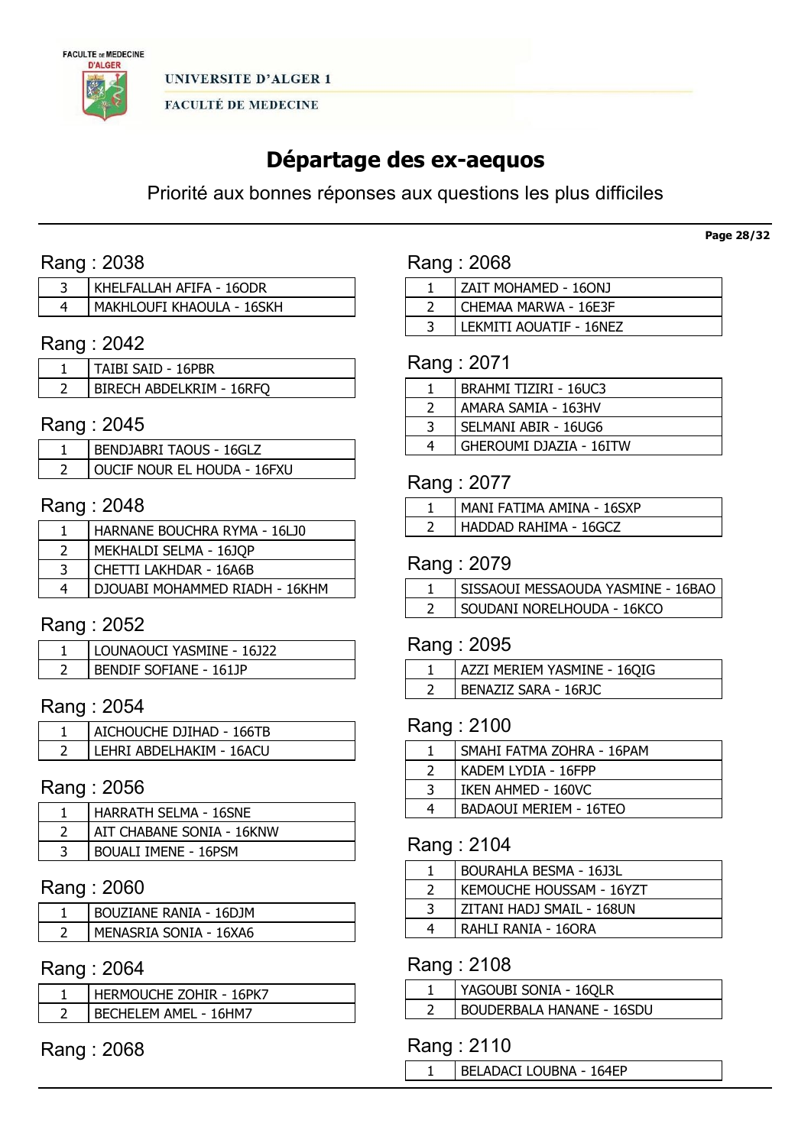

# Départage des ex-aequos

Priorité aux bonnes réponses aux questions les plus difficiles

# Rang : 2038

| KHELFALLAH AFIFA - 16ODR  |
|---------------------------|
| MAKHLOUFI KHAOULA - 16SKH |

# Rang : 2042

| TAIBI SAID - 16PBR       |
|--------------------------|
| BIRECH ABDELKRIM - 16RFO |

### Rang : 2045

| BENDJABRI TAOUS - 16GLZ            |
|------------------------------------|
| <b>OUCIF NOUR EL HOUDA - 16FXU</b> |

# Rang : 2048

| HARNANE BOUCHRA RYMA - 16LJ0   |
|--------------------------------|
| MEKHALDI SELMA - 16JQP         |
| CHETTI LAKHDAR - 16A6B         |
| DJOUABI MOHAMMED RIADH - 16KHM |

### Rang : 2052

| ' LOUNAOUCI YASMINE - 16J22 |
|-----------------------------|
| BENDIF SOFIANE - 161JP      |

## Rang : 2054

| AICHOUCHE DJIHAD - 166TB |
|--------------------------|
| LEHRI ABDELHAKIM - 16ACU |

### Rang : 2056

| HARRATH SELMA - 16SNE       |
|-----------------------------|
| AIT CHABANE SONIA - 16KNW   |
| <b>BOUALI IMENE - 16PSM</b> |

# Rang : 2060

| <b>BOUZIANE RANIA - 16DJM</b> |
|-------------------------------|
| MENASRIA SONIA - 16XA6        |

# Rang : 2064

| HERMOUCHE ZOHIR - 16PK7 |
|-------------------------|
| BECHELEM AMEL - 16HM7   |

Rang : 2068

|  | Rang: 2068 |
|--|------------|
|  |            |

| ZAIT MOHAMED - 16ONJ    |
|-------------------------|
| CHEMAA MARWA - 16E3F    |
| LEKMITI AOUATIF - 16NEZ |

### Rang : 2071

| <b>BRAHMI TIZIRI - 16UC3</b> |
|------------------------------|
| AMARA SAMIA - 163HV          |
| SELMANI ABIR - 16UG6         |
| GHEROUMI DJAZIA - 16ITW      |

### Rang : 2077

| . MANI FATIMA AMINA - 16SXP  |
|------------------------------|
| <b>HADDAD RAHIMA - 16GCZ</b> |

### Rang : 2079

| SISSAOUI MESSAOUDA YASMINE - 16BAO |
|------------------------------------|
| Soudani Norelhouda - 16kCO         |

#### Rang : 2095

| AZZI MERIEM YASMINE - 160IG |
|-----------------------------|
| BENAZIZ SARA - 16RJC        |

### Rang : 2100

|   | SMAHI FATMA ZOHRA - 16PAM |
|---|---------------------------|
|   | KADEM LYDIA - 16FPP       |
| 3 | IKEN AHMED - 160VC        |
| 4 | BADAOUI MERIEM - 16TEO    |

# Rang : 2104

|   | BOURAHLA BESMA - 16J3L    |
|---|---------------------------|
|   | KEMOUCHE HOUSSAM - 16YZT  |
| 2 | ZITANI HADJ SMAIL - 168UN |
| 4 | RAHLI RANIA - 160RA       |

### Rang : 2108

| YAGOUBI SONIA - 16QLR            |
|----------------------------------|
| <b>BOUDERBALA HANANE - 16SDU</b> |

### Rang : 2110

BELADACI LOUBNA - 164EP

Page 28/32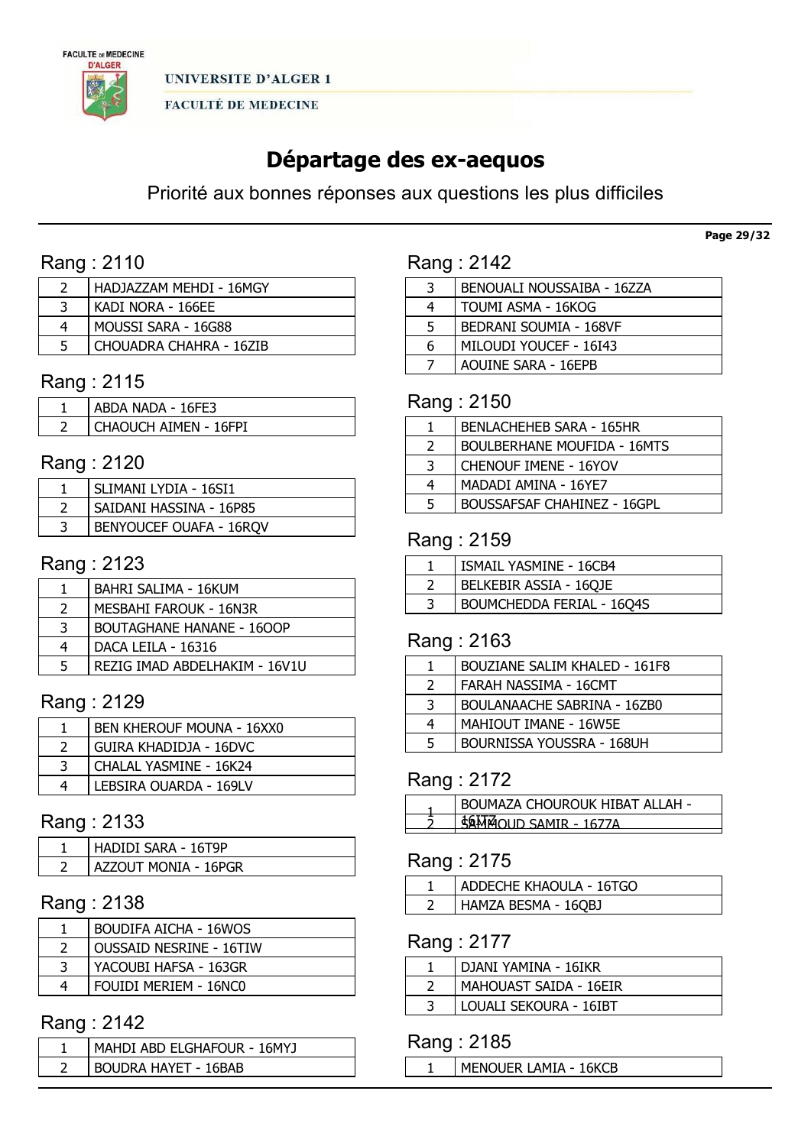

# Départage des ex-aequos

Priorité aux bonnes réponses aux questions les plus difficiles

# Rang : 2110

| HADJAZZAM MEHDI - 16MGY |
|-------------------------|
| KADI NORA - 166EE       |
| l Moussi Sara - 16G88   |
| CHOUADRA CHAHRA - 16ZIB |

# Rang : 2115

| ABDA NADA - 16FE3     |
|-----------------------|
| CHAOUCH AIMEN - 16FPI |

### Rang : 2120

| SLIMANI LYDIA - 16SI1          |
|--------------------------------|
| SAIDANI HASSINA - 16P85        |
| <b>BENYOUCEF OUAFA - 16RQV</b> |

# Rang : 2123

|               | BAHRI SALIMA - 16KUM             |
|---------------|----------------------------------|
| $\mathcal{L}$ | MESBAHI FAROUK - 16N3R           |
| 3             | <b>BOUTAGHANE HANANE - 1600P</b> |
| 4             | DACA LEILA - 16316               |
| 5             | REZIG IMAD ABDELHAKIM - 16V1U    |

# Rang : 2129

|   | <b>BEN KHEROUF MOUNA - 16XX0</b> |
|---|----------------------------------|
|   | <b>GUIRA KHADIDJA - 16DVC</b>    |
| 3 | CHALAL YASMINE - 16K24           |
|   | LEBSIRA OUARDA - 169LV           |

# Rang : 2133

| HADIDI SARA - 16T9P         |
|-----------------------------|
| <b>AZZOUT MONIA - 16PGR</b> |

# Rang : 2138

| <b>BOUDIFA AICHA - 16WOS</b>   |
|--------------------------------|
| <b>OUSSAID NESRINE - 16TIW</b> |
| YACOUBI HAFSA - 163GR          |
| FOUIDI MERIEM - 16NC0          |
|                                |

# Rang : 2142

| MAHDI ABD ELGHAFOUR - 16MYJ |
|-----------------------------|
| BOUDRA HAYET - 16BAB        |

# Rang : 2142

| 3 | BENOUALI NOUSSAIBA - 16ZZA |
|---|----------------------------|
| 4 | TOUMI ASMA - 16KOG         |
| 5 | BEDRANI SOUMIA - 168VF     |
| 6 | MILOUDI YOUCEF - 16I43     |
|   | AOUINE SARA - 16EPB        |
|   |                            |

# Rang : 2150

|               | <b>BENLACHEHEB SARA - 165HR</b>    |
|---------------|------------------------------------|
| $\mathcal{L}$ | <b>BOULBERHANE MOUFIDA - 16MTS</b> |
| 3             | <b>CHENOUF IMENE - 16YOV</b>       |
| 4             | MADADI AMINA - 16YE7               |
| 5             | <b>BOUSSAFSAF CHAHINEZ - 16GPL</b> |

# Rang : 2159

| ISMAIL YASMINE - 16CB4           |
|----------------------------------|
| BELKEBIR ASSIA - 16QJE           |
| <b>BOUMCHEDDA FERIAL - 16Q4S</b> |

# Rang : 2163

|               | <b>BOUZIANE SALIM KHALED - 161F8</b> |
|---------------|--------------------------------------|
| $\mathcal{L}$ | FARAH NASSIMA - 16CMT                |
| 3             | <b>BOULANAACHE SABRINA - 16ZB0</b>   |
| 4             | MAHIOUT IMANE - 16W5E                |
| 5             | BOURNISSA YOUSSRA - 168UH            |

# Rang : 2172

| BOUMAZA CHOUROUK HIBAT ALLAH - |
|--------------------------------|
| MOLID SAMIR - 167              |
|                                |

### Rang : 2175

| ADDECHE KHAOULA - 16TGO |
|-------------------------|
| HAMZA BESMA - 16QBJ     |

### Rang : 2177

| DJANI YAMINA - 16IKR   |
|------------------------|
| MAHOUAST SAIDA - 16EIR |
| LOUALI SEKOURA - 16IBT |

### Rang : 2185

| MENOUER LAMIA - 16KCB |  |
|-----------------------|--|
|-----------------------|--|

#### Page 29/32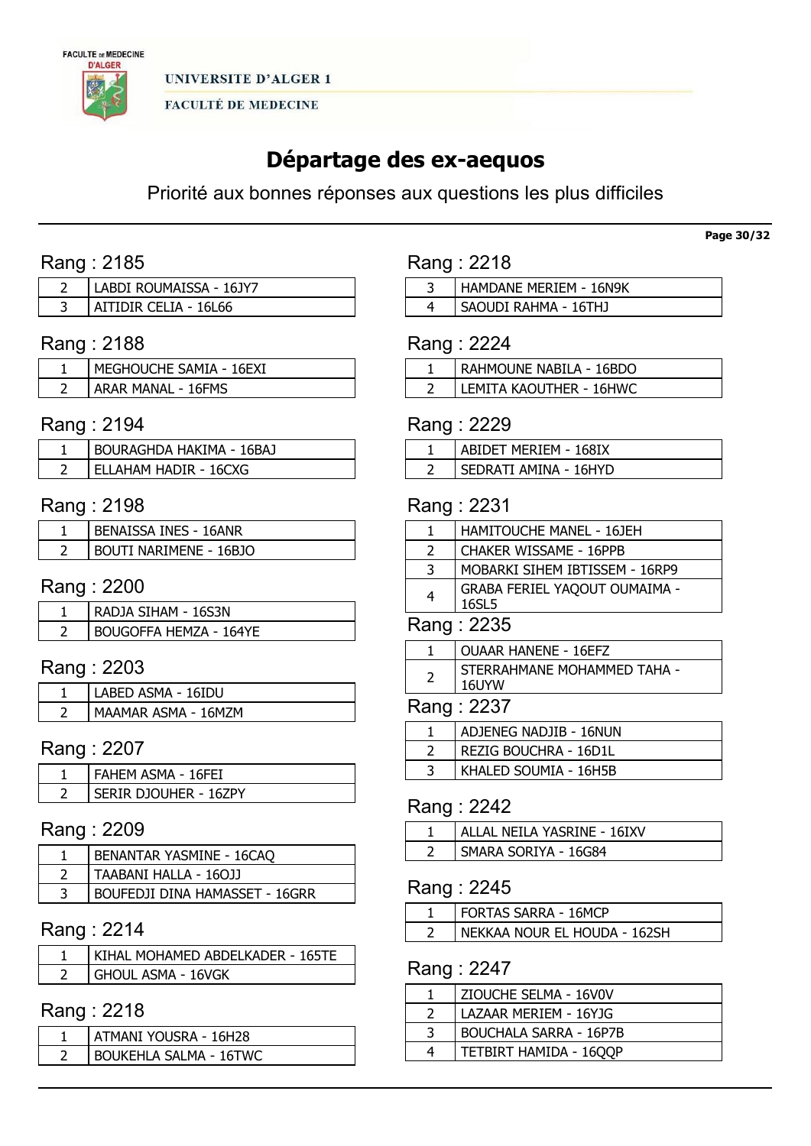

# Départage des ex-aequos

Priorité aux bonnes réponses aux questions les plus difficiles

# Rang : 2185

| LABDI ROUMAISSA - 16JY7 |
|-------------------------|
| AITIDIR CELIA - 16L66   |

# Rang : 2188

| MEGHOUCHE SAMIA - 16EXI   |
|---------------------------|
| <b>ARAR MANAL - 16FMS</b> |

### Rang : 2194

| BOURAGHDA HAKIMA - 16BAJ |
|--------------------------|
| ELLAHAM HADIR - 16CXG    |

### Rang : 2198

| <b>BENAISSA INES - 16ANR</b> |
|------------------------------|
| BOUTI NARIMENE - 16BJO       |

### Rang : 2200

| RADJA SIHAM - 16S3N    |
|------------------------|
| BOUGOFFA HEMZA - 164YE |

# Rang : 2203

| LABED ASMA - 16IDU  |
|---------------------|
| MAAMAR ASMA - 16MZM |

# Rang : 2207

| FAHEM ASMA - 16FEI    |
|-----------------------|
| SERIR DJOUHER - 16ZPY |

### Rang : 2209

| BENANTAR YASMINE - 16CAO       |
|--------------------------------|
| TAABANI HALLA - 160JJ          |
| BOUFEDJI DINA HAMASSET - 16GRR |

# Rang : 2214

| KIHAL MOHAMED ABDELKADER - 165TE |
|----------------------------------|
| GHOUL ASMA - 16VGK               |

# Rang : 2218

| ATMANI YOUSRA - 16H28         |
|-------------------------------|
| <b>BOUKEHLA SALMA - 16TWC</b> |

| Rang: 2218 |                        |
|------------|------------------------|
|            | HAMDANE MERIEM - 16N9K |
|            | SAOUDI RAHMA - 16THJ   |

### Rang : 2224

| RAHMOUNE NABILA - 16BDO |
|-------------------------|
| LEMITA KAOUTHER - 16HWC |

### Rang : 2229

| ABIDET MERIEM - 168IX |
|-----------------------|
| SEDRATI AMINA - 16HYD |

### Rang : 2231

|               | HAMITOUCHE MANEL - 16JEH               |
|---------------|----------------------------------------|
| $\mathcal{P}$ | CHAKER WISSAME - 16PPB                 |
| 3             | MOBARKI SIHEM IBTISSEM - 16RP9         |
| 4             | GRABA FERIEL YAQOUT OUMAIMA -<br>16SL5 |
| Rang: 2235    |                                        |

| OUAAR HANENE - 16EFZ                               |
|----------------------------------------------------|
| STERRAHMANE MOHAMMED TAHA -<br>$1$ $C$ $I$ $N$ $M$ |

#### 16UYW Rang : 2237

| ------ |                        |
|--------|------------------------|
|        | ADJENEG NADJIB - 16NUN |
|        | REZIG BOUCHRA - 16D1L  |
|        | KHALED SOUMIA - 16H5B  |

### Rang : 2242

| ALLAL NEILA YASRINE - 16IXV |
|-----------------------------|
| SMARA SORIYA - 16G84        |

# Rang : 2245

| FORTAS SARRA - 16MCP         |
|------------------------------|
| NEKKAA NOUR EL HOUDA - 162SH |
|                              |

# Rang : 2247

| ZIOUCHE SELMA - 16V0V         |
|-------------------------------|
| LAZAAR MERIEM - 16YJG         |
| <b>BOUCHALA SARRA - 16P7B</b> |
| TETBIRT HAMIDA - 16QQP        |

Page 30/32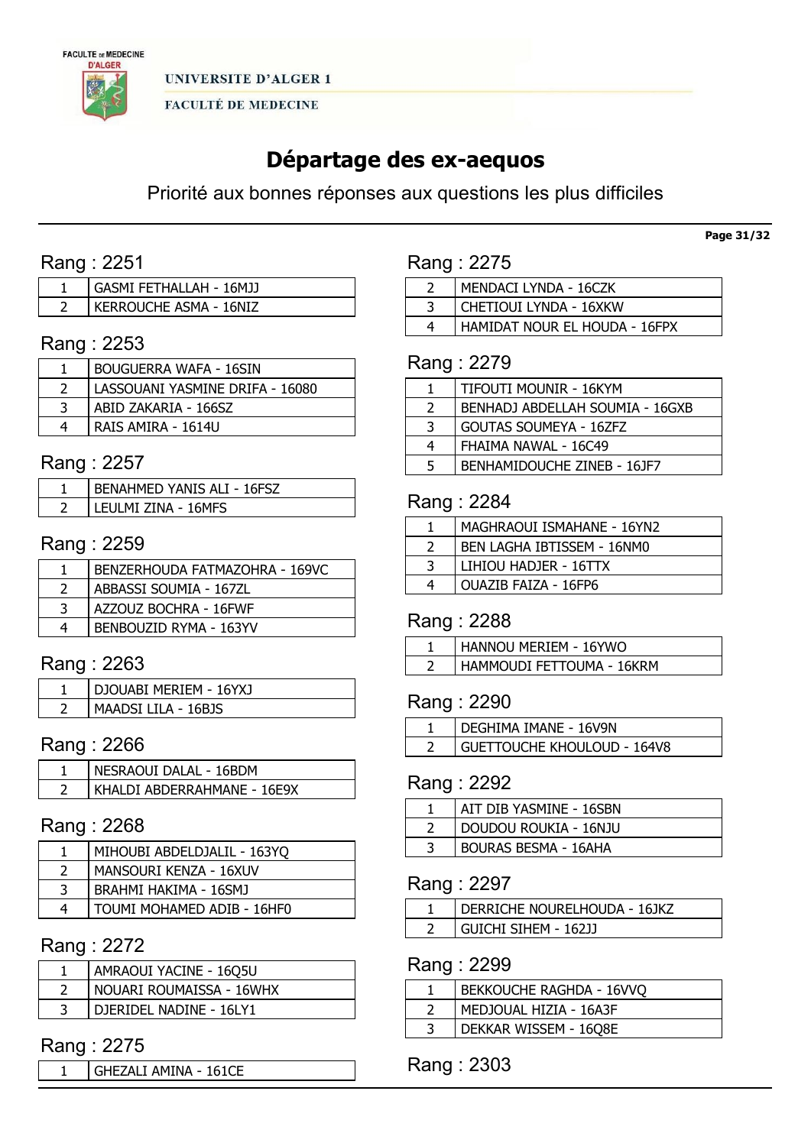

UNIVERSITE D'ALGER 1

**FACULTÉ DE MEDECINE** 

# Départage des ex-aequos

Priorité aux bonnes réponses aux questions les plus difficiles

# Rang : 2251

| GASMI FETHALLAH - 16MJJ |
|-------------------------|
| KERROUCHE ASMA - 16NIZ  |

# Rang : 2253

| <b>BOUGUERRA WAFA - 16SIN</b>   |
|---------------------------------|
| LASSOUANI YASMINE DRIFA - 16080 |
| ABID ZAKARIA - 166SZ            |
| RAIS AMIRA - 1614U              |

### Rang : 2257

| <b>BENAHMED YANIS ALI - 16FSZ</b> |
|-----------------------------------|
| LEULMI ZINA - 16MFS               |

### Rang : 2259

| BENZERHOUDA FATMAZOHRA - 169VC |
|--------------------------------|
| ABBASSI SOUMIA - 167ZL         |
| AZZOUZ BOCHRA - 16FWF          |
| BENBOUZID RYMA - 163YV         |

# Rang : 2263

| <b>DJOUABI MERIEM - 16YX1</b> |
|-------------------------------|
| MAADSI LILA - 16BJS           |

# Rang : 2266

| NESRAOUT DALAL - 16BDM      |
|-----------------------------|
| KHALDI ABDERRAHMANE - 16E9X |

#### Rang : 2268

| MIHOUBI ABDELDJALIL - 163YQ |
|-----------------------------|
| MANSOURI KENZA - 16XUV      |
| BRAHMI HAKIMA - 16SMJ       |
| TOUMI MOHAMED ADIB - 16HF0  |

### Rang : 2272

| AMRAOUI YACINE - 16Q5U   |
|--------------------------|
| NOUARI ROUMAISSA - 16WHX |
| DJERIDEL NADINE - 16LY1  |

### Rang : 2275

1 | GHEZALI AMINA - 161CE

### Rang : 2275

| MENDACI LYNDA - 16CZK         |  |
|-------------------------------|--|
| CHETIOUI LYNDA - 16XKW        |  |
| HAMIDAT NOUR EL HOUDA - 16FPX |  |

### Rang : 2279

|   | TIFOUTI MOUNIR - 16KYM          |
|---|---------------------------------|
| 2 | BENHADJ ABDELLAH SOUMIA - 16GXB |
| 3 | <b>GOUTAS SOUMEYA - 16ZFZ</b>   |
| 4 | FHAIMA NAWAL - 16C49            |
| 5 | BENHAMIDOUCHE ZINEB - 16JF7     |

### Rang : 2284

| MAGHRAOUI ISMAHANE - 16YN2        |
|-----------------------------------|
| <b>BEN LAGHA IBTISSEM - 16NMO</b> |
| LIHIOU HADJER - 16TTX             |
| OUAZIB FAIZA - 16FP6              |

## Rang : 2288

| HANNOU MERIEM - 16YWO     |
|---------------------------|
| HAMMOUDI FETTOUMA - 16KRM |

### Rang : 2290

| I DEGHIMA IMANE - 16V9N     |
|-----------------------------|
| GUETTOUCHE KHOULOUD - 164V8 |

# Rang : 2292

| AIT DIB YASMINE - 16SBN     |
|-----------------------------|
| DOUDOU ROUKIA - 16NJU       |
| <b>BOURAS BESMA - 16AHA</b> |

### Rang : 2297

| DERRICHE NOURELHOUDA - 16JKZ |
|------------------------------|
| GUICHI SIHEM - 16211         |

### Rang : 2299

| BEKKOUCHE RAGHDA - 16VVO |
|--------------------------|
| MEDJOUAL HIZIA - 16A3F   |
| DEKKAR WISSEM - 16Q8E    |

# Rang : 2303

Page 31/32